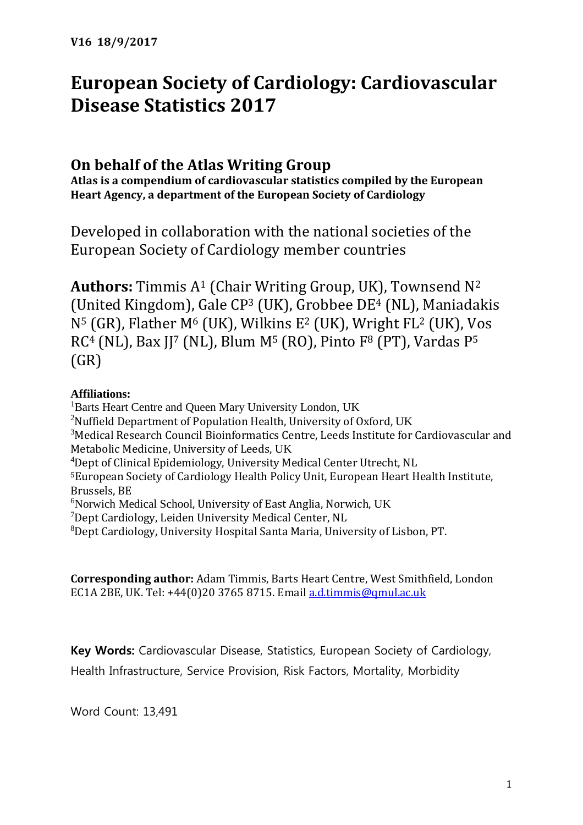# **European Society of Cardiology: Cardiovascular Disease Statistics 2017**

# **On behalf of the Atlas Writing Group**

**Atlas is a compendium of cardiovascular statistics compiled by the European Heart Agency, a department of the European Society of Cardiology**

Developed in collaboration with the national societies of the European Society of Cardiology member countries

**Authors:** Timmis A<sup>1</sup> (Chair Writing Group, UK), Townsend N<sup>2</sup> (United Kingdom), Gale CP<sup>3</sup> (UK), Grobbee DE<sup>4</sup> (NL), Maniadakis N<sup>5</sup> (GR), Flather M<sup>6</sup> (UK), Wilkins E<sup>2</sup> (UK), Wright FL<sup>2</sup> (UK), Vos RC<sup>4</sup> (NL), Bax JJ<sup>7</sup> (NL), Blum M<sup>5</sup> (RO), Pinto F<sup>8</sup> (PT), Vardas P<sup>5</sup> (GR)

## **Affiliations:**

<sup>1</sup>Barts Heart Centre and Queen Mary University London, UK <sup>2</sup>Nuffield Department of Population Health, University of Oxford, UK <sup>3</sup>Medical Research Council Bioinformatics Centre, Leeds Institute for Cardiovascular and Metabolic Medicine, University of Leeds, UK <sup>4</sup>Dept of Clinical Epidemiology, University Medical Center Utrecht, NL <sup>5</sup>European Society of Cardiology Health Policy Unit, European Heart Health Institute, Brussels, BE <sup>6</sup>Norwich Medical School, University of East Anglia, Norwich, UK <sup>7</sup>Dept Cardiology, Leiden University Medical Center, NL <sup>8</sup>Dept Cardiology, University Hospital Santa Maria, University of Lisbon, PT.

**Corresponding author:** Adam Timmis, Barts Heart Centre, West Smithfield, London EC1A 2BE, UK. Tel: +44(0)20 3765 8715. Email [a.d.timmis@qmul.ac.uk](mailto:a.d.timmis@qmul.ac.uk)

**Key Words:** Cardiovascular Disease, Statistics, European Society of Cardiology, Health Infrastructure, Service Provision, Risk Factors, Mortality, Morbidity

Word Count: 13,491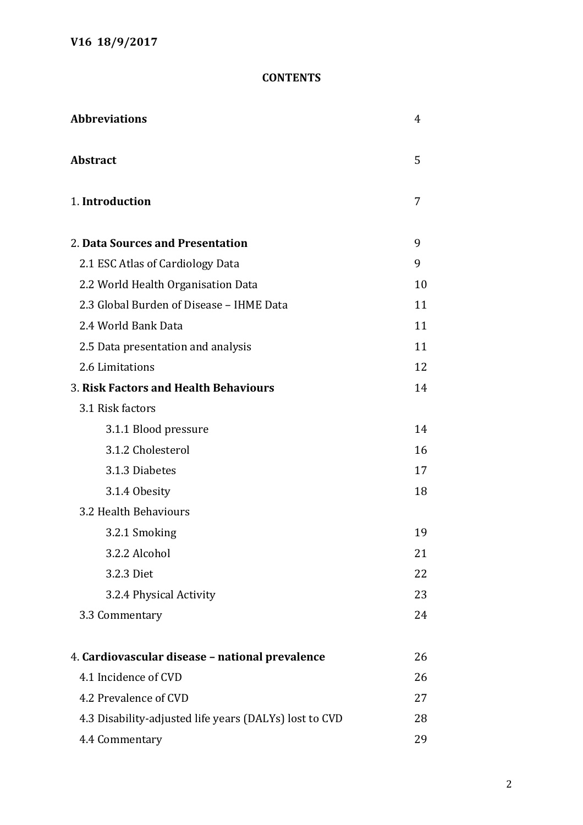## **CONTENTS**

| <b>Abbreviations</b>                                   |    |
|--------------------------------------------------------|----|
| <b>Abstract</b>                                        | 5  |
| 1. Introduction                                        | 7  |
| 2. Data Sources and Presentation                       | 9  |
| 2.1 ESC Atlas of Cardiology Data                       | 9  |
| 2.2 World Health Organisation Data                     | 10 |
| 2.3 Global Burden of Disease - IHME Data               | 11 |
| 2.4 World Bank Data                                    | 11 |
| 2.5 Data presentation and analysis                     | 11 |
| 2.6 Limitations                                        | 12 |
| 3. Risk Factors and Health Behaviours                  | 14 |
| 3.1 Risk factors                                       |    |
| 3.1.1 Blood pressure                                   | 14 |
| 3.1.2 Cholesterol                                      | 16 |
| 3.1.3 Diabetes                                         | 17 |
| 3.1.4 Obesity                                          | 18 |
| 3.2 Health Behaviours                                  |    |
| 3.2.1 Smoking                                          | 19 |
| 3.2.2 Alcohol                                          | 21 |
| 3.2.3 Diet                                             | 22 |
| 3.2.4 Physical Activity                                | 23 |
| 3.3 Commentary                                         | 24 |
| 4. Cardiovascular disease - national prevalence        | 26 |
| 4.1 Incidence of CVD                                   | 26 |
| 4.2 Prevalence of CVD                                  | 27 |
| 4.3 Disability-adjusted life years (DALYs) lost to CVD | 28 |
| 4.4 Commentary                                         | 29 |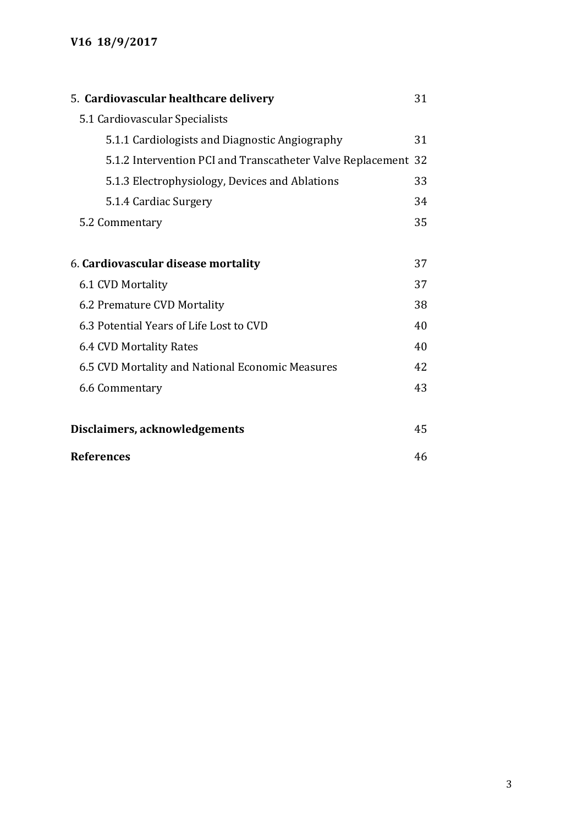| 5. Cardiovascular healthcare delivery<br>31                   |    |
|---------------------------------------------------------------|----|
| 5.1 Cardiovascular Specialists                                |    |
| 5.1.1 Cardiologists and Diagnostic Angiography                | 31 |
| 5.1.2 Intervention PCI and Transcatheter Valve Replacement 32 |    |
| 5.1.3 Electrophysiology, Devices and Ablations                | 33 |
| 5.1.4 Cardiac Surgery                                         | 34 |
| 5.2 Commentary                                                |    |
|                                                               |    |
| 6. Cardiovascular disease mortality                           | 37 |
| 6.1 CVD Mortality                                             | 37 |
| 6.2 Premature CVD Mortality<br>38                             |    |
| 6.3 Potential Years of Life Lost to CVD<br>40                 |    |
| 6.4 CVD Mortality Rates                                       |    |
| 6.5 CVD Mortality and National Economic Measures              |    |
| 6.6 Commentary                                                | 43 |
|                                                               |    |
| Disclaimers, acknowledgements                                 | 45 |
| <b>References</b>                                             | 46 |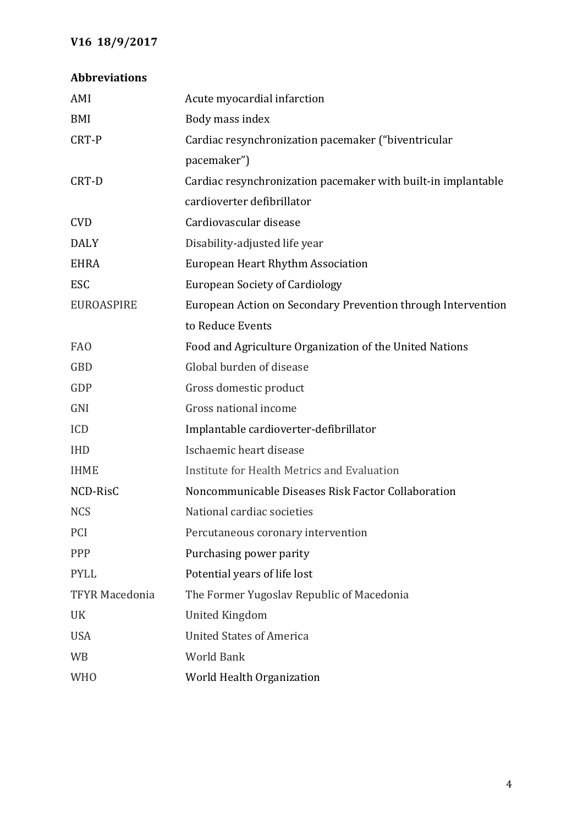## **Abbreviations**

| AMI                   | Acute myocardial infarction                                   |
|-----------------------|---------------------------------------------------------------|
| BMI                   | Body mass index                                               |
| CRT-P                 | Cardiac resynchronization pacemaker ("biventricular           |
|                       | pacemaker")                                                   |
| CRT-D                 | Cardiac resynchronization pacemaker with built-in implantable |
|                       | cardioverter defibrillator                                    |
| <b>CVD</b>            | Cardiovascular disease                                        |
| <b>DALY</b>           | Disability-adjusted life year                                 |
| <b>EHRA</b>           | European Heart Rhythm Association                             |
| ESC                   | <b>European Society of Cardiology</b>                         |
| <b>EUROASPIRE</b>     | European Action on Secondary Prevention through Intervention  |
|                       | to Reduce Events                                              |
| <b>FAO</b>            | Food and Agriculture Organization of the United Nations       |
| <b>GBD</b>            | Global burden of disease                                      |
| GDP                   | Gross domestic product                                        |
| GNI                   | Gross national income                                         |
| ICD                   | Implantable cardioverter-defibrillator                        |
| <b>IHD</b>            | Ischaemic heart disease                                       |
| <b>IHME</b>           | Institute for Health Metrics and Evaluation                   |
| NCD-RisC              | Noncommunicable Diseases Risk Factor Collaboration            |
| <b>NCS</b>            | National cardiac societies                                    |
| PCI                   | Percutaneous coronary intervention                            |
| PPP                   | Purchasing power parity                                       |
| <b>PYLL</b>           | Potential years of life lost                                  |
| <b>TFYR Macedonia</b> | The Former Yugoslav Republic of Macedonia                     |
| UK                    | <b>United Kingdom</b>                                         |
| <b>USA</b>            | <b>United States of America</b>                               |
| <b>WB</b>             | <b>World Bank</b>                                             |
| <b>WHO</b>            | World Health Organization                                     |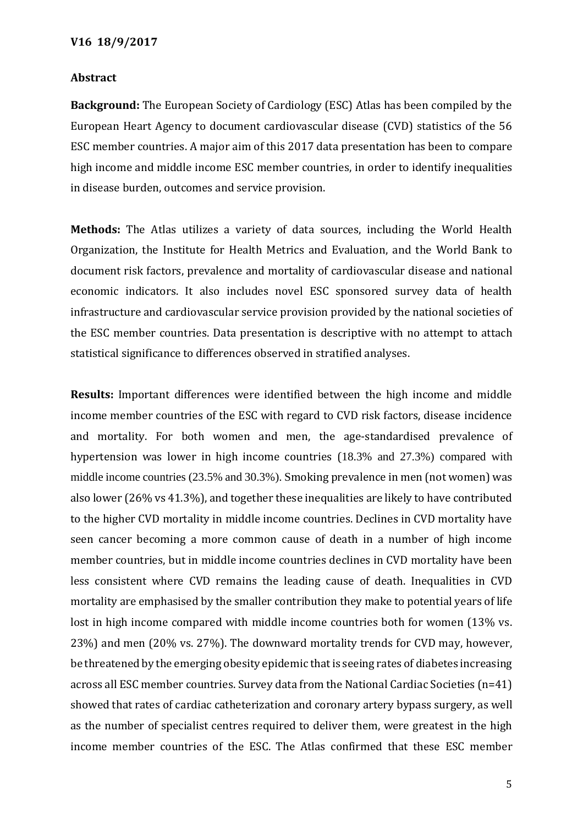#### **Abstract**

**Background:** The European Society of Cardiology (ESC) Atlas has been compiled by the European Heart Agency to document cardiovascular disease (CVD) statistics of the 56 ESC member countries. A major aim of this 2017 data presentation has been to compare high income and middle income ESC member countries, in order to identify inequalities in disease burden, outcomes and service provision.

**Methods:** The Atlas utilizes a variety of data sources, including the World Health Organization, the Institute for Health Metrics and Evaluation, and the World Bank to document risk factors, prevalence and mortality of cardiovascular disease and national economic indicators. It also includes novel ESC sponsored survey data of health infrastructure and cardiovascular service provision provided by the national societies of the ESC member countries. Data presentation is descriptive with no attempt to attach statistical significance to differences observed in stratified analyses.

**Results:** Important differences were identified between the high income and middle income member countries of the ESC with regard to CVD risk factors, disease incidence and mortality. For both women and men, the age-standardised prevalence of hypertension was lower in high income countries (18.3% and 27.3%) compared with middle income countries (23.5% and 30.3%). Smoking prevalence in men (not women) was also lower (26% vs 41.3%), and together these inequalities are likely to have contributed to the higher CVD mortality in middle income countries. Declines in CVD mortality have seen cancer becoming a more common cause of death in a number of high income member countries, but in middle income countries declines in CVD mortality have been less consistent where CVD remains the leading cause of death. Inequalities in CVD mortality are emphasised by the smaller contribution they make to potential years of life lost in high income compared with middle income countries both for women (13% vs. 23%) and men (20% vs. 27%). The downward mortality trends for CVD may, however, be threatened by the emerging obesity epidemic that is seeing rates of diabetes increasing across all ESC member countries. Survey data from the National Cardiac Societies (n=41) showed that rates of cardiac catheterization and coronary artery bypass surgery, as well as the number of specialist centres required to deliver them, were greatest in the high income member countries of the ESC. The Atlas confirmed that these ESC member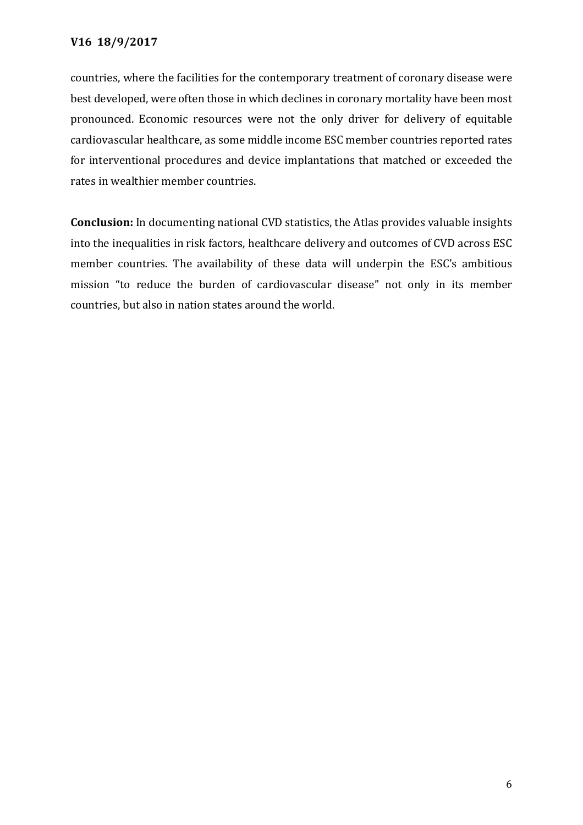countries, where the facilities for the contemporary treatment of coronary disease were best developed, were often those in which declines in coronary mortality have been most pronounced. Economic resources were not the only driver for delivery of equitable cardiovascular healthcare, as some middle income ESC member countries reported rates for interventional procedures and device implantations that matched or exceeded the rates in wealthier member countries.

**Conclusion:** In documenting national CVD statistics, the Atlas provides valuable insights into the inequalities in risk factors, healthcare delivery and outcomes of CVD across ESC member countries. The availability of these data will underpin the ESC's ambitious mission "to reduce the burden of cardiovascular disease" not only in its member countries, but also in nation states around the world.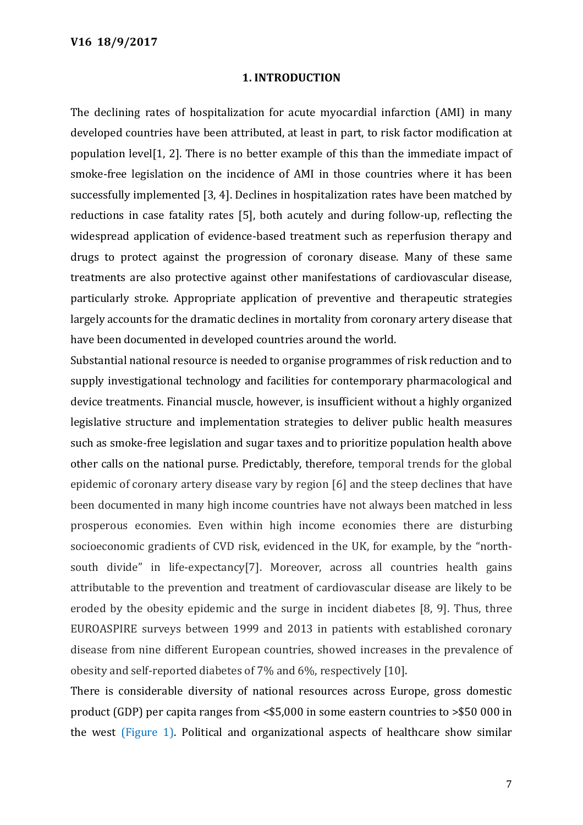#### **1. INTRODUCTION**

The declining rates of hospitalization for acute myocardial infarction (AMI) in many developed countries have been attributed, at least in part, to risk factor modification at population level[1, 2]. There is no better example of this than the immediate impact of smoke-free legislation on the incidence of AMI in those countries where it has been successfully implemented [3, 4]. Declines in hospitalization rates have been matched by reductions in case fatality rates [5], both acutely and during follow-up, reflecting the widespread application of evidence-based treatment such as reperfusion therapy and drugs to protect against the progression of coronary disease. Many of these same treatments are also protective against other manifestations of cardiovascular disease, particularly stroke. Appropriate application of preventive and therapeutic strategies largely accounts for the dramatic declines in mortality from coronary artery disease that have been documented in developed countries around the world.

Substantial national resource is needed to organise programmes of risk reduction and to supply investigational technology and facilities for contemporary pharmacological and device treatments. Financial muscle, however, is insufficient without a highly organized legislative structure and implementation strategies to deliver public health measures such as smoke-free legislation and sugar taxes and to prioritize population health above other calls on the national purse. Predictably, therefore, temporal trends for the global epidemic of coronary artery disease vary by region [6] and the steep declines that have been documented in many high income countries have not always been matched in less prosperous economies. Even within high income economies there are disturbing socioeconomic gradients of CVD risk, evidenced in the UK, for example, by the "northsouth divide" in life-expectancy[7]. Moreover, across all countries health gains attributable to the prevention and treatment of cardiovascular disease are likely to be eroded by the obesity epidemic and the surge in incident diabetes [8, 9]. Thus, three EUROASPIRE surveys between 1999 and 2013 in patients with established coronary disease from nine different European countries, showed increases in the prevalence of obesity and self-reported diabetes of 7% and 6%, respectively [10].

There is considerable diversity of national resources across Europe, gross domestic product (GDP) per capita ranges from <\$5,000 in some eastern countries to >\$50 000 in the west (Figure 1). Political and organizational aspects of healthcare show similar

7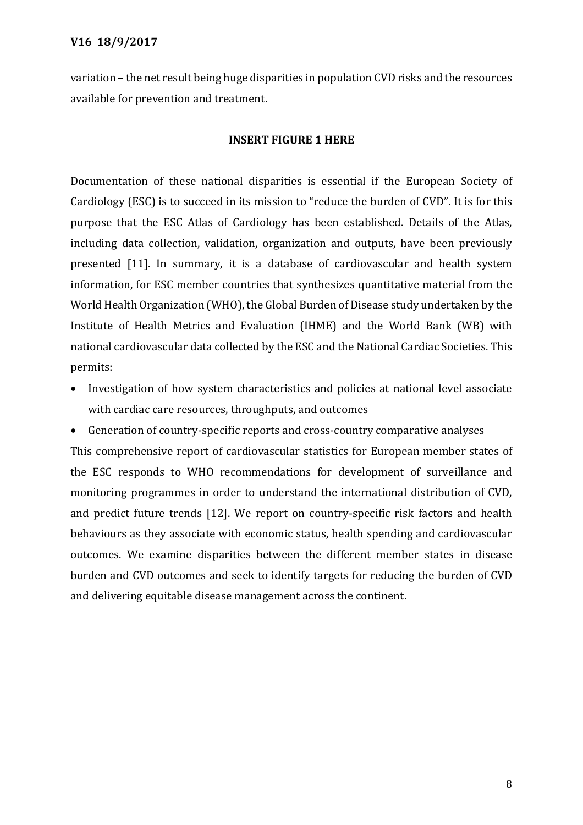variation – the net result being huge disparities in population CVD risks and the resources available for prevention and treatment.

## **INSERT FIGURE 1 HERE**

Documentation of these national disparities is essential if the European Society of Cardiology (ESC) is to succeed in its mission to "reduce the burden of CVD". It is for this purpose that the ESC Atlas of Cardiology has been established. Details of the Atlas, including data collection, validation, organization and outputs, have been previously presented [11]. In summary, it is a database of cardiovascular and health system information, for ESC member countries that synthesizes quantitative material from the World Health Organization (WHO), the Global Burden of Disease study undertaken by the Institute of Health Metrics and Evaluation (IHME) and the World Bank (WB) with national cardiovascular data collected by the ESC and the National Cardiac Societies. This permits:

- Investigation of how system characteristics and policies at national level associate with cardiac care resources, throughputs, and outcomes
- Generation of country-specific reports and cross-country comparative analyses

This comprehensive report of cardiovascular statistics for European member states of the ESC responds to WHO recommendations for development of surveillance and monitoring programmes in order to understand the international distribution of CVD, and predict future trends [12]. We report on country-specific risk factors and health behaviours as they associate with economic status, health spending and cardiovascular outcomes. We examine disparities between the different member states in disease burden and CVD outcomes and seek to identify targets for reducing the burden of CVD and delivering equitable disease management across the continent.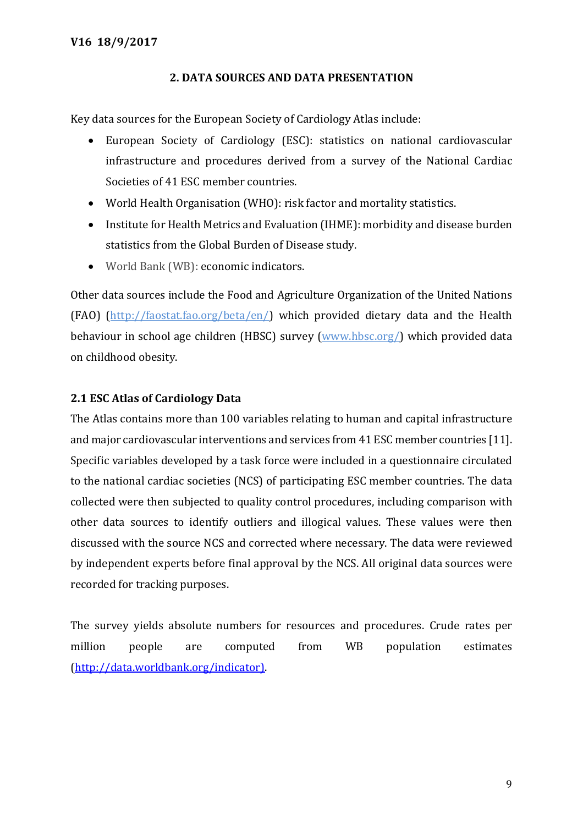## **2. DATA SOURCES AND DATA PRESENTATION**

Key data sources for the European Society of Cardiology Atlas include:

- European Society of Cardiology (ESC): statistics on national cardiovascular infrastructure and procedures derived from a survey of the National Cardiac Societies of 41 ESC member countries.
- World Health Organisation (WHO): risk factor and mortality statistics.
- Institute for Health Metrics and Evaluation (IHME): morbidity and disease burden statistics from the Global Burden of Disease study.
- World Bank (WB): economic indicators.

Other data sources include the Food and Agriculture Organization of the United Nations (FAO) (http://faostat.fao.org/beta/en/) which provided dietary data and the Health behaviour in school age children (HBSC) survey (www.hbsc.org/) which provided data on childhood obesity.

## **2.1 ESC Atlas of Cardiology Data**

The Atlas contains more than 100 variables relating to human and capital infrastructure and major cardiovascular interventions and services from 41 ESC member countries [11]. Specific variables developed by a task force were included in a questionnaire circulated to the national cardiac societies (NCS) of participating ESC member countries. The data collected were then subjected to quality control procedures, including comparison with other data sources to identify outliers and illogical values. These values were then discussed with the source NCS and corrected where necessary. The data were reviewed by independent experts before final approval by the NCS. All original data sources were recorded for tracking purposes.

The survey yields absolute numbers for resources and procedures. Crude rates per million people are computed from WB population estimates [\(http://data.worldbank.org/indicator\).](http://data.worldbank.org/indicator))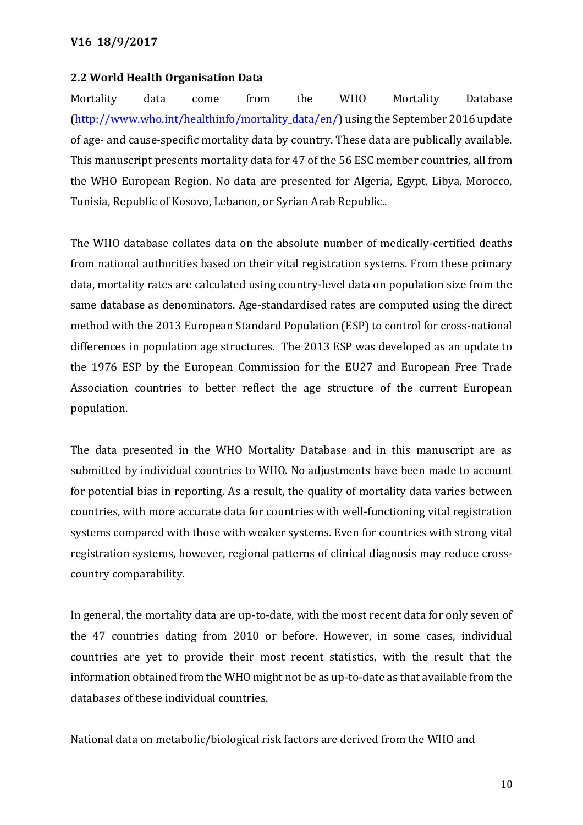#### **2.2 World Health Organisation Data**

Mortality data come from the WHO Mortality Database [\(http://www.who.int/healthinfo/mortality\\_data/en/\)](http://www.who.int/healthinfo/mortality_data/en/) using the September 2016 update of age- and cause-specific mortality data by country. These data are publically available. This manuscript presents mortality data for 47 of the 56 ESC member countries, all from the WHO European Region. No data are presented for Algeria, Egypt, Libya, Morocco, Tunisia, Republic of Kosovo, Lebanon, or Syrian Arab Republic..

The WHO database collates data on the absolute number of medically-certified deaths from national authorities based on their vital registration systems. From these primary data, mortality rates are calculated using country-level data on population size from the same database as denominators. Age-standardised rates are computed using the direct method with the 2013 European Standard Population (ESP) to control for cross-national differences in population age structures. The 2013 ESP was developed as an update to the 1976 ESP by the European Commission for the EU27 and European Free Trade Association countries to better reflect the age structure of the current European population.

The data presented in the WHO Mortality Database and in this manuscript are as submitted by individual countries to WHO. No adjustments have been made to account for potential bias in reporting. As a result, the quality of mortality data varies between countries, with more accurate data for countries with well-functioning vital registration systems compared with those with weaker systems. Even for countries with strong vital registration systems, however, regional patterns of clinical diagnosis may reduce crosscountry comparability.

In general, the mortality data are up-to-date, with the most recent data for only seven of the 47 countries dating from 2010 or before. However, in some cases, individual countries are yet to provide their most recent statistics, with the result that the information obtained from the WHO might not be as up-to-date as that available from the databases of these individual countries.

National data on metabolic/biological risk factors are derived from the WHO and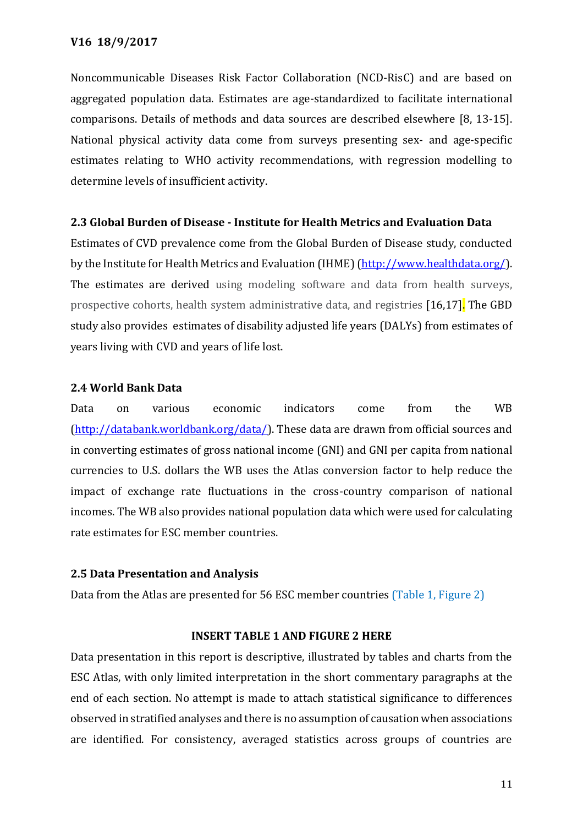Noncommunicable Diseases Risk Factor Collaboration (NCD-RisC) and are based on aggregated population data. Estimates are age-standardized to facilitate international comparisons. Details of methods and data sources are described elsewhere [8, 13-15]. National physical activity data come from surveys presenting sex- and age-specific estimates relating to WHO activity recommendations, with regression modelling to determine levels of insufficient activity.

## **2.3 Global Burden of Disease - Institute for Health Metrics and Evaluation Data**

Estimates of CVD prevalence come from the Global Burden of Disease study, conducted by the Institute for Health Metrics and Evaluation (IHME) [\(http://www.healthdata.org/\)](http://www.healthdata.org/). The estimates are derived using modeling software and data from health surveys, prospective cohorts, health system administrative data, and registries [16,17]. The GBD study also provides estimates of disability adjusted life years (DALYs) from estimates of years living with CVD and years of life lost.

## **2.4 World Bank Data**

Data on various economic indicators come from the WB [\(http://databank.worldbank.org/data/\)](http://databank.worldbank.org/data/). These data are drawn from official sources and in converting estimates of gross national income (GNI) and GNI per capita from national currencies to U.S. dollars the WB uses the Atlas conversion factor to help reduce the impact of exchange rate fluctuations in the cross-country comparison of national incomes. The WB also provides national population data which were used for calculating rate estimates for ESC member countries.

## **2.5 Data Presentation and Analysis**

Data from the Atlas are presented for 56 ESC member countries (Table 1, Figure 2)

## **INSERT TABLE 1 AND FIGURE 2 HERE**

Data presentation in this report is descriptive, illustrated by tables and charts from the ESC Atlas, with only limited interpretation in the short commentary paragraphs at the end of each section. No attempt is made to attach statistical significance to differences observed in stratified analyses and there is no assumption of causation when associations are identified. For consistency, averaged statistics across groups of countries are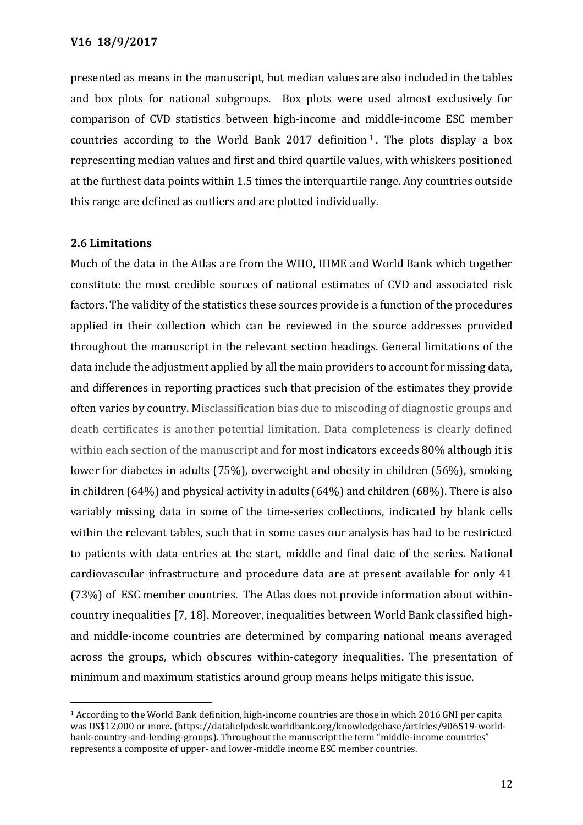presented as means in the manuscript, but median values are also included in the tables and box plots for national subgroups. Box plots were used almost exclusively for comparison of CVD statistics between high-income and middle-income ESC member countries according to the World Bank 2017 definition  $1$ . The plots display a box representing median values and first and third quartile values, with whiskers positioned at the furthest data points within 1.5 times the interquartile range. Any countries outside this range are defined as outliers and are plotted individually.

## **2.6 Limitations**

 $\overline{a}$ 

Much of the data in the Atlas are from the WHO, IHME and World Bank which together constitute the most credible sources of national estimates of CVD and associated risk factors. The validity of the statistics these sources provide is a function of the procedures applied in their collection which can be reviewed in the source addresses provided throughout the manuscript in the relevant section headings. General limitations of the data include the adjustment applied by all the main providers to account for missing data, and differences in reporting practices such that precision of the estimates they provide often varies by country. Misclassification bias due to miscoding of diagnostic groups and death certificates is another potential limitation. Data completeness is clearly defined within each section of the manuscript and for most indicators exceeds 80% although it is lower for diabetes in adults (75%), overweight and obesity in children (56%), smoking in children (64%) and physical activity in adults (64%) and children (68%). There is also variably missing data in some of the time-series collections, indicated by blank cells within the relevant tables, such that in some cases our analysis has had to be restricted to patients with data entries at the start, middle and final date of the series. National cardiovascular infrastructure and procedure data are at present available for only 41 (73%) of ESC member countries. The Atlas does not provide information about withincountry inequalities [7, 18]. Moreover, inequalities between World Bank classified highand middle-income countries are determined by comparing national means averaged across the groups, which obscures within-category inequalities. The presentation of minimum and maximum statistics around group means helps mitigate this issue.

<sup>1</sup> According to the World Bank definition, high-income countries are those in which 2016 GNI per capita was US\$12,000 or more. (https://datahelpdesk.worldbank.org/knowledgebase/articles/906519-worldbank-country-and-lending-groups). Throughout the manuscript the term "middle-income countries" represents a composite of upper- and lower-middle income ESC member countries.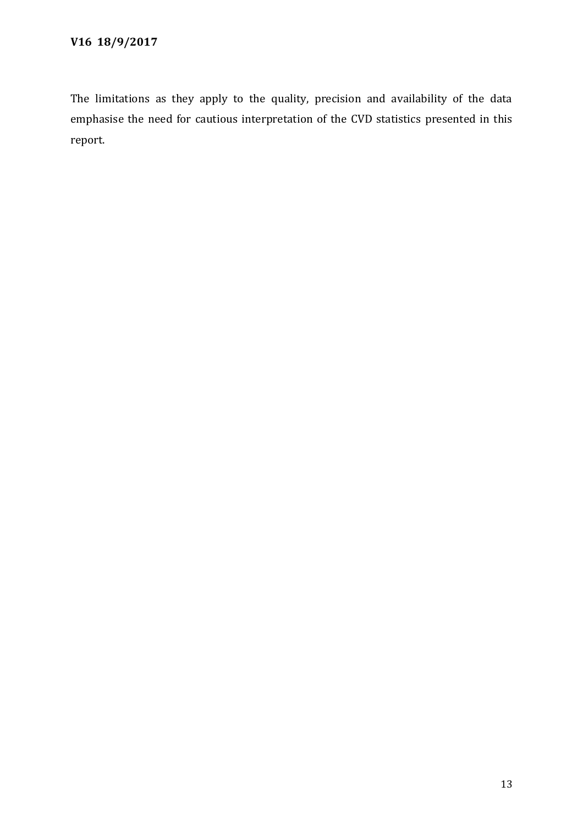The limitations as they apply to the quality, precision and availability of the data emphasise the need for cautious interpretation of the CVD statistics presented in this report.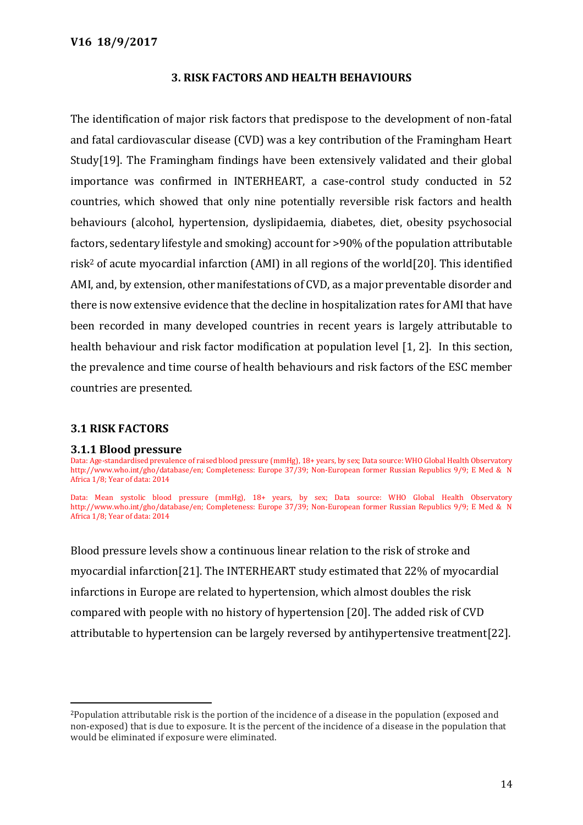## **3. RISK FACTORS AND HEALTH BEHAVIOURS**

The identification of major risk factors that predispose to the development of non-fatal and fatal cardiovascular disease (CVD) was a key contribution of the Framingham Heart Study[19]. The Framingham findings have been extensively validated and their global importance was confirmed in INTERHEART, a case-control study conducted in 52 countries, which showed that only nine potentially reversible risk factors and health behaviours (alcohol, hypertension, dyslipidaemia, diabetes, diet, obesity psychosocial factors, sedentary lifestyle and smoking) account for >90% of the population attributable risk<sup>2</sup> of acute myocardial infarction (AMI) in all regions of the world[20]. This identified AMI, and, by extension, other manifestations of CVD, as a major preventable disorder and there is now extensive evidence that the decline in hospitalization rates for AMI that have been recorded in many developed countries in recent years is largely attributable to health behaviour and risk factor modification at population level [1, 2]. In this section, the prevalence and time course of health behaviours and risk factors of the ESC member countries are presented.

## **3.1 RISK FACTORS**

 $\overline{a}$ 

#### **3.1.1 Blood pressure**

Data: Age-standardised prevalence of raised blood pressure (mmHg), 18+ years, by sex; Data source: WHO Global Health Observatory http://www.who.int/gho/database/en; Completeness: Europe 37/39; Non-European former Russian Republics 9/9; E Med & N Africa 1/8; Year of data: 2014

Data: Mean systolic blood pressure (mmHg), 18+ years, by sex; Data source: WHO Global Health Observatory http://www.who.int/gho/database/en; Completeness: Europe 37/39; Non-European former Russian Republics 9/9; E Med & N Africa 1/8; Year of data: 2014

Blood pressure levels show a continuous linear relation to the risk of stroke and myocardial infarction[21]. The INTERHEART study estimated that 22% of myocardial infarctions in Europe are related to hypertension, which almost doubles the risk compared with people with no history of hypertension [20]. The added risk of CVD attributable to hypertension can be largely reversed by antihypertensive treatment[22].

<sup>2</sup>Population attributable risk is the portion of the incidence of a disease in the population (exposed and non-exposed) that is due to exposure. It is the percent of the incidence of a disease in the population that would be eliminated if exposure were eliminated.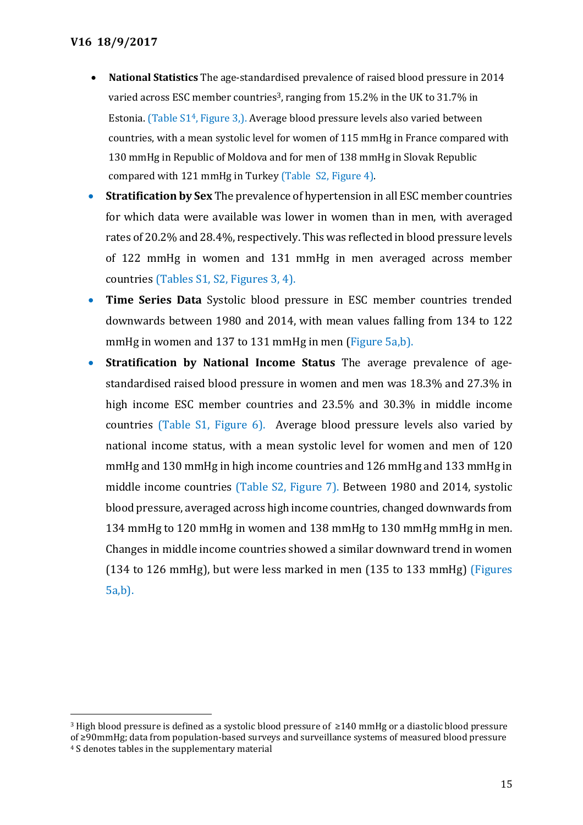$\overline{a}$ 

- **National Statistics** The age-standardised prevalence of raised blood pressure in 2014 varied across ESC member countries<sup>3</sup>, ranging from 15.2% in the UK to 31.7% in Estonia. (Table  $S1<sup>4</sup>$ , Figure 3,). Average blood pressure levels also varied between countries, with a mean systolic level for women of 115 mmHg in France compared with 130 mmHg in Republic of Moldova and for men of 138 mmHg in Slovak Republic compared with 121 mmHg in Turkey (Table S2, Figure 4).
- **Stratification by Sex** The prevalence of hypertension in all ESC member countries for which data were available was lower in women than in men, with averaged rates of 20.2% and 28.4%, respectively. This was reflected in blood pressure levels of 122 mmHg in women and 131 mmHg in men averaged across member countries (Tables S1, S2, Figures 3, 4).
- **Time Series Data** Systolic blood pressure in ESC member countries trended downwards between 1980 and 2014, with mean values falling from 134 to 122 mmHg in women and 137 to 131 mmHg in men (Figure 5a,b).
- **Stratification by National Income Status** The average prevalence of agestandardised raised blood pressure in women and men was 18.3% and 27.3% in high income ESC member countries and 23.5% and 30.3% in middle income countries (Table S1, Figure 6). Average blood pressure levels also varied by national income status, with a mean systolic level for women and men of 120 mmHg and 130 mmHg in high income countries and 126 mmHg and 133 mmHg in middle income countries (Table S2, Figure 7). Between 1980 and 2014, systolic blood pressure, averaged across high income countries, changed downwards from 134 mmHg to 120 mmHg in women and 138 mmHg to 130 mmHg mmHg in men. Changes in middle income countries showed a similar downward trend in women (134 to 126 mmHg), but were less marked in men (135 to 133 mmHg) (Figures 5a,b).

<sup>3</sup> High blood pressure is defined as a systolic blood pressure of ≥140 mmHg or a diastolic blood pressure of ≥90mmHg; data from population-based surveys and surveillance systems of measured blood pressure <sup>4</sup> S denotes tables in the supplementary material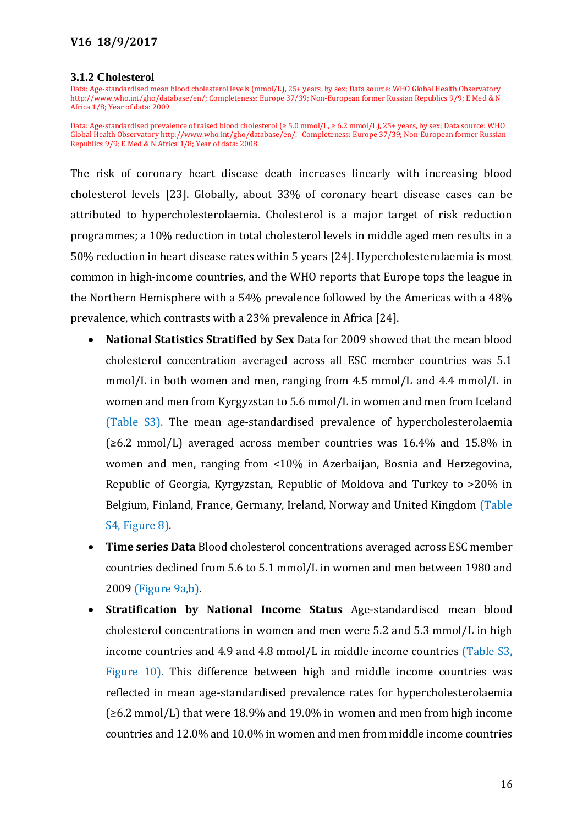#### **3.1.2 Cholesterol**

Data: Age-standardised mean blood cholesterol levels (mmol/L), 25+ years, by sex; Data source: WHO Global Health Observatory [http://www.who.int/gho/database/en/;](http://www.who.int/gho/database/en/) Completeness: Europe 37/39; Non-European former Russian Republics 9/9; E Med & N Africa 1/8; Year of data: 2009

Data: Age-standardised prevalence of raised blood cholesterol (≥ 5.0 mmol/L, ≥ 6.2 mmol/L), 25+ years, by sex; Data source: WHO Global Health Observator[y http://www.who.int/gho/database/en/.](http://www.who.int/gho/database/en/) Completeness: Europe 37/39; Non-European former Russian Republics 9/9; E Med & N Africa 1/8; Year of data: 2008

The risk of coronary heart disease death increases linearly with increasing blood cholesterol levels [23]. Globally, about 33% of coronary heart disease cases can be attributed to hypercholesterolaemia. Cholesterol is a major target of risk reduction programmes; a 10% reduction in total cholesterol levels in middle aged men results in a 50% reduction in heart disease rates within 5 years [24]. Hypercholesterolaemia is most common in high-income countries, and the WHO reports that Europe tops the league in the Northern Hemisphere with a 54% prevalence followed by the Americas with a 48% prevalence, which contrasts with a 23% prevalence in Africa [24].

- **National Statistics Stratified by Sex** Data for 2009 showed that the mean blood cholesterol concentration averaged across all ESC member countries was 5.1 mmol/L in both women and men, ranging from 4.5 mmol/L and 4.4 mmol/L in women and men from Kyrgyzstan to 5.6 mmol/L in women and men from Iceland (Table S3). The mean age-standardised prevalence of hypercholesterolaemia  $(\geq 6.2 \text{ mmol/L})$  averaged across member countries was 16.4% and 15.8% in women and men, ranging from <10% in Azerbaijan, Bosnia and Herzegovina, Republic of Georgia, Kyrgyzstan, Republic of Moldova and Turkey to >20% in Belgium, Finland, France, Germany, Ireland, Norway and United Kingdom (Table S4, Figure 8).
- **Time series Data** Blood cholesterol concentrations averaged across ESC member countries declined from 5.6 to 5.1 mmol/L in women and men between 1980 and 2009 (Figure 9a,b).
- **Stratification by National Income Status** Age-standardised mean blood cholesterol concentrations in women and men were 5.2 and 5.3 mmol/L in high income countries and 4.9 and 4.8 mmol/L in middle income countries (Table S3, Figure 10). This difference between high and middle income countries was reflected in mean age-standardised prevalence rates for hypercholesterolaemia (≥6.2 mmol/L) that were 18.9% and 19.0% in women and men from high income countries and 12.0% and 10.0% in women and men from middle income countries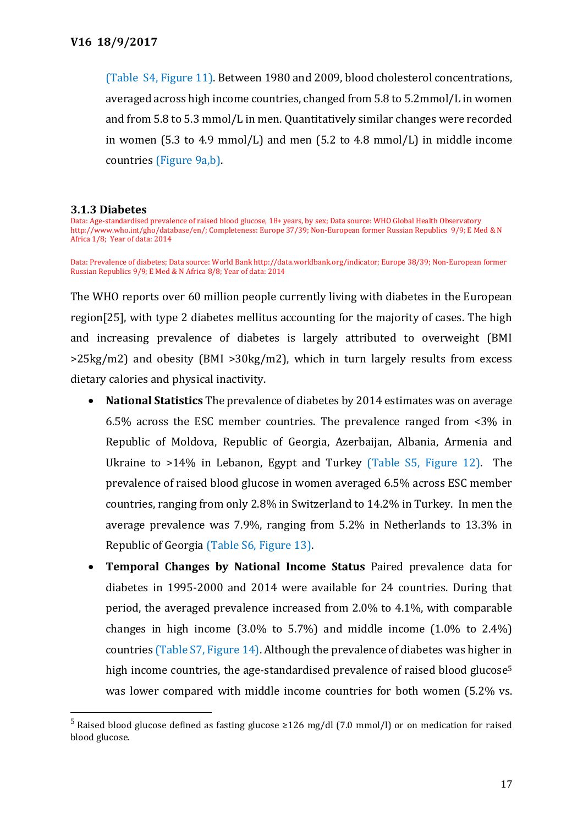(Table S4, Figure 11). Between 1980 and 2009, blood cholesterol concentrations, averaged across high income countries, changed from 5.8 to 5.2mmol/L in women and from 5.8 to 5.3 mmol/L in men. Quantitatively similar changes were recorded in women (5.3 to 4.9 mmol/L) and men (5.2 to 4.8 mmol/L) in middle income countries (Figure 9a,b).

#### **3.1.3 Diabetes**

 $\overline{a}$ 

Data: Age-standardised prevalence of raised blood glucose, 18+ years, by sex; Data source: WHO Global Health Observatory [http://www.who.int/gho/database/en/;](http://www.who.int/gho/database/en/) Completeness: Europe 37/39; Non-European former Russian Republics 9/9; E Med & N Africa 1/8; Year of data: 2014

Data: Prevalence of diabetes; Data source: World Bank [http://data.worldbank.org/indicator;](http://data.worldbank.org/indicator) Europe 38/39; Non-European former Russian Republics 9/9; E Med & N Africa 8/8; Year of data: 2014

The WHO reports over 60 million people currently living with diabetes in the European region[25], with type 2 diabetes mellitus accounting for the majority of cases. The high and increasing prevalence of diabetes is largely attributed to overweight (BMI >25kg/m2) and obesity (BMI >30kg/m2), which in turn largely results from excess dietary calories and physical inactivity.

- **National Statistics** The prevalence of diabetes by 2014 estimates was on average 6.5% across the ESC member countries. The prevalence ranged from <3% in Republic of Moldova, Republic of Georgia, Azerbaijan, Albania, Armenia and Ukraine to >14% in Lebanon, Egypt and Turkey (Table S5, Figure 12). The prevalence of raised blood glucose in women averaged 6.5% across ESC member countries, ranging from only 2.8% in Switzerland to 14.2% in Turkey. In men the average prevalence was 7.9%, ranging from 5.2% in Netherlands to 13.3% in Republic of Georgia (Table S6, Figure 13).
- **Temporal Changes by National Income Status** Paired prevalence data for diabetes in 1995-2000 and 2014 were available for 24 countries. During that period, the averaged prevalence increased from 2.0% to 4.1%, with comparable changes in high income (3.0% to 5.7%) and middle income (1.0% to 2.4%) countries (Table S7, Figure 14). Although the prevalence of diabetes was higher in high income countries, the age-standardised prevalence of raised blood glucose<sup>5</sup> was lower compared with middle income countries for both women (5.2% vs.

<sup>&</sup>lt;sup>5</sup> Raised blood glucose defined as fasting glucose ≥126 mg/dl (7.0 mmol/l) or on medication for raised blood glucose.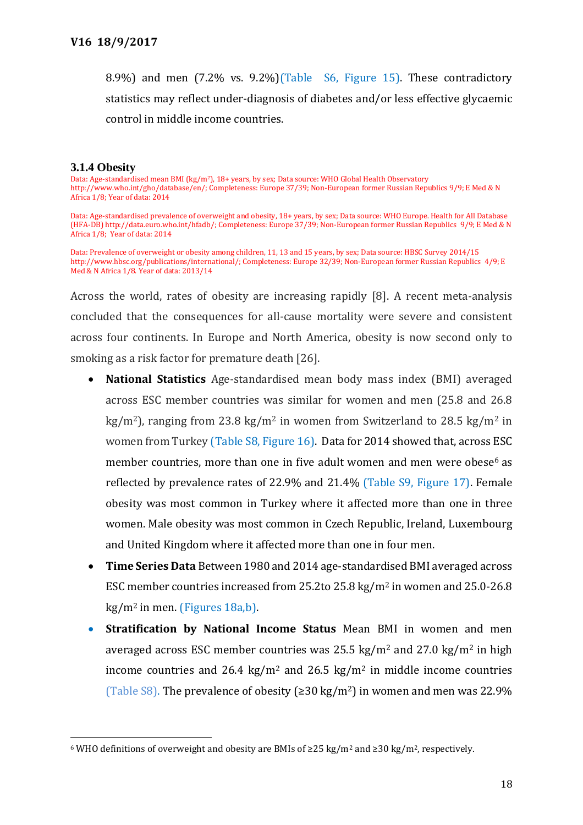8.9%) and men (7.2% vs. 9.2%)(Table S6, Figure 15). These contradictory statistics may reflect under-diagnosis of diabetes and/or less effective glycaemic control in middle income countries.

#### **3.1.4 Obesity**

 $\overline{a}$ 

Data: Age-standardised mean BMI (kg/m<sup>2</sup>), 18+ years, by sex; Data source: WHO Global Health Observatory [http://www.who.int/gho/database/en/;](http://www.who.int/gho/database/en/) Completeness: Europe 37/39; Non-European former Russian Republics 9/9; E Med & N Africa 1/8; Year of data: 2014

Data: Age-standardised prevalence of overweight and obesity, 18+ years, by sex; Data source: WHO Europe. Health for All Database (HFA-DB[\) http://data.euro.who.int/hfadb/;](http://data.euro.who.int/hfadb/) Completeness: Europe 37/39; Non-European former Russian Republics 9/9; E Med & N Africa 1/8; Year of data: 2014

Data: Prevalence of overweight or obesity among children, 11, 13 and 15 years, by sex; Data source: HBSC Survey 2014/15 [http://www.hbsc.org/publications/international/;](http://www.hbsc.org/publications/international/) Completeness: Europe 32/39; Non-European former Russian Republics 4/9; E Med & N Africa 1/8. Year of data: 2013/14

Across the world, rates of obesity are increasing rapidly [8]. A recent meta-analysis concluded that the consequences for all-cause mortality were severe and consistent across four continents. In Europe and North America, obesity is now second only to smoking as a risk factor for premature death [26].

- **National Statistics** Age-standardised mean body mass index (BMI) averaged across ESC member countries was similar for women and men (25.8 and 26.8 kg/m<sup>2</sup>), ranging from 23.8 kg/m<sup>2</sup> in women from Switzerland to 28.5 kg/m<sup>2</sup> in women from Turkey (Table S8, Figure 16). Data for 2014 showed that, across ESC member countries, more than one in five adult women and men were obese<sup>6</sup> as reflected by prevalence rates of 22.9% and 21.4% (Table S9, Figure 17). Female obesity was most common in Turkey where it affected more than one in three women. Male obesity was most common in Czech Republic, Ireland, Luxembourg and United Kingdom where it affected more than one in four men.
- **Time Series Data** Between 1980 and 2014 age-standardised BMI averaged across ESC member countries increased from 25.2to 25.8 kg/m<sup>2</sup> in women and 25.0-26.8 kg/m<sup>2</sup> in men. (Figures 18a,b).
- **Stratification by National Income Status** Mean BMI in women and men averaged across ESC member countries was  $25.5 \text{ kg/m}^2$  and  $27.0 \text{ kg/m}^2$  in high income countries and 26.4 kg/m<sup>2</sup> and 26.5 kg/m<sup>2</sup> in middle income countries (Table S8). The prevalence of obesity ( $\geq$ 30 kg/m<sup>2</sup>) in women and men was 22.9%

<sup>6</sup> WHO definitions of overweight and obesity are BMIs of ≥25 kg/m<sup>2</sup> and ≥30 kg/m<sup>2</sup>, respectively.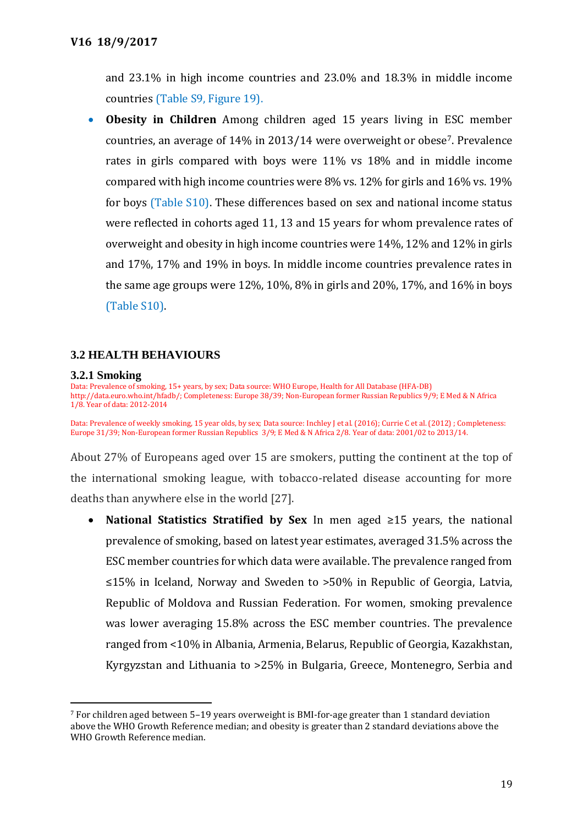and 23.1% in high income countries and 23.0% and 18.3% in middle income countries (Table S9, Figure 19).

 **Obesity in Children** Among children aged 15 years living in ESC member countries, an average of 14% in 2013/14 were overweight or obese7. Prevalence rates in girls compared with boys were 11% vs 18% and in middle income compared with high income countries were 8% vs. 12% for girls and 16% vs. 19% for boys (Table S10). These differences based on sex and national income status were reflected in cohorts aged 11, 13 and 15 years for whom prevalence rates of overweight and obesity in high income countries were 14%, 12% and 12% in girls and 17%, 17% and 19% in boys. In middle income countries prevalence rates in the same age groups were  $12\%$ ,  $10\%$ ,  $8\%$  in girls and  $20\%$ ,  $17\%$ , and  $16\%$  in boys (Table S10).

## **3.2 HEALTH BEHAVIOURS**

#### **3.2.1 Smoking**

 $\overline{a}$ 

Data: Prevalence of smoking, 15+ years, by sex; Data source: WHO Europe, Health for All Database (HFA-DB) [http://data.euro.who.int/hfadb/;](http://data.euro.who.int/hfadb/) Completeness: Europe 38/39; Non-European former Russian Republics 9/9; E Med & N Africa 1/8. Year of data: 2012-2014

Data: Prevalence of weekly smoking, 15 year olds, by sex; Data source: Inchley J et al. (2016); Currie C et al. (2012) ; Completeness: Europe 31/39; Non-European former Russian Republics 3/9; E Med & N Africa 2/8. Year of data: 2001/02 to 2013/14.

About 27% of Europeans aged over 15 are smokers, putting the continent at the top of the international smoking league, with tobacco-related disease accounting for more deaths than anywhere else in the world [27].

 **National Statistics Stratified by Sex** In men aged ≥15 years, the national prevalence of smoking, based on latest year estimates, averaged 31.5% across the ESC member countries for which data were available. The prevalence ranged from ≤15% in Iceland, Norway and Sweden to >50% in Republic of Georgia, Latvia, Republic of Moldova and Russian Federation. For women, smoking prevalence was lower averaging 15.8% across the ESC member countries. The prevalence ranged from <10% in Albania, Armenia, Belarus, Republic of Georgia, Kazakhstan, Kyrgyzstan and Lithuania to >25% in Bulgaria, Greece, Montenegro, Serbia and

<sup>7</sup> For children aged between 5–19 years overweight is BMI-for-age greater than 1 standard deviation above the WHO Growth Reference median; and obesity is greater than 2 standard deviations above the WHO Growth Reference median.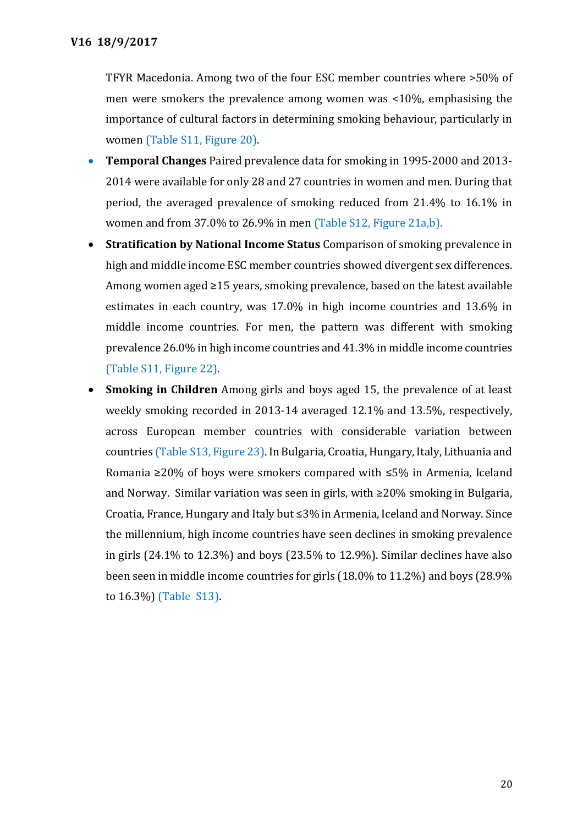TFYR Macedonia. Among two of the four ESC member countries where >50% of men were smokers the prevalence among women was <10%, emphasising the importance of cultural factors in determining smoking behaviour, particularly in women (Table S11, Figure 20).

- **Temporal Changes** Paired prevalence data for smoking in 1995-2000 and 2013- 2014 were available for only 28 and 27 countries in women and men. During that period, the averaged prevalence of smoking reduced from 21.4% to 16.1% in women and from 37.0% to 26.9% in men (Table S12, Figure 21a,b).
- **Stratification by National Income Status** Comparison of smoking prevalence in high and middle income ESC member countries showed divergent sex differences. Among women aged ≥15 years, smoking prevalence, based on the latest available estimates in each country, was 17.0% in high income countries and 13.6% in middle income countries. For men, the pattern was different with smoking prevalence 26.0% in high income countries and 41.3% in middle income countries (Table S11, Figure 22).
- **Smoking in Children** Among girls and boys aged 15, the prevalence of at least weekly smoking recorded in 2013-14 averaged 12.1% and 13.5%, respectively, across European member countries with considerable variation between countries (Table S13, Figure 23). In Bulgaria, Croatia, Hungary, Italy, Lithuania and Romania ≥20% of boys were smokers compared with ≤5% in Armenia, Iceland and Norway. Similar variation was seen in girls, with ≥20% smoking in Bulgaria, Croatia, France, Hungary and Italy but ≤3% in Armenia, Iceland and Norway. Since the millennium, high income countries have seen declines in smoking prevalence in girls (24.1% to 12.3%) and boys (23.5% to 12.9%). Similar declines have also been seen in middle income countries for girls (18.0% to 11.2%) and boys (28.9% to 16.3%) (Table S13).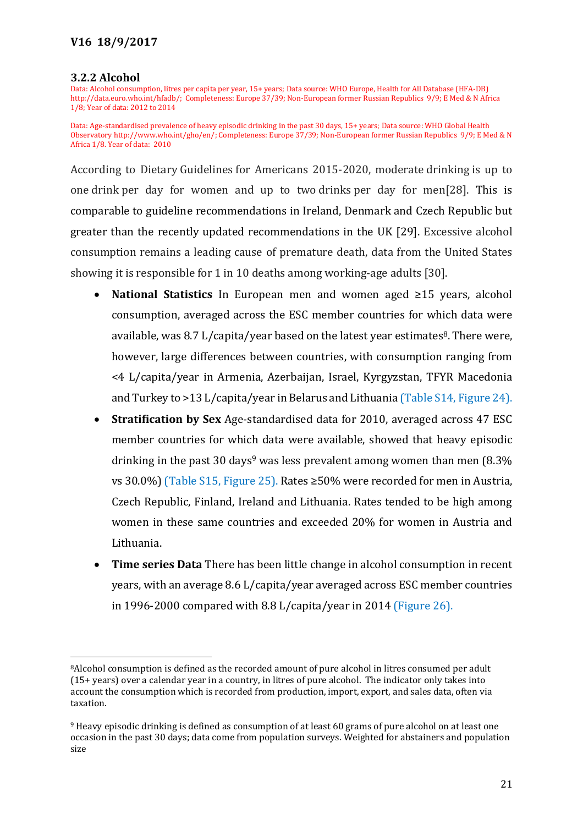#### **3.2.2 Alcohol**

 $\overline{a}$ 

Data: Alcohol consumption, litres per capita per year, 15+ years; Data source: WHO Europe, Health for All Database (HFA-DB) [http://data.euro.who.int/hfadb/;](http://data.euro.who.int/hfadb/) Completeness: Europe 37/39; Non-European former Russian Republics 9/9; E Med & N Africa 1/8; Year of data: 2012 to 2014

Data: Age-standardised prevalence of heavy episodic drinking in the past 30 days, 15+ years; Data source: WHO Global Health Observator[y http://www.who.int/gho/en/;](http://www.who.int/gho/en/) Completeness: Europe 37/39; Non-European former Russian Republics 9/9; E Med & N Africa 1/8. Year of data: 2010

According to Dietary Guidelines for Americans 2015-2020, moderate drinking is up to one drink per day for women and up to two drinks per day for men[28]. This is comparable to guideline recommendations in Ireland, Denmark and Czech Republic but greater than the recently updated recommendations in the UK [29]. Excessive alcohol consumption remains a leading cause of premature death, data from the United States showing it is responsible for 1 in 10 deaths among working-age adults [30].

- **National Statistics** In European men and women aged ≥15 years, alcohol consumption, averaged across the ESC member countries for which data were available, was 8.7 L/capita/year based on the latest year estimates <sup>8</sup>. There were, however, large differences between countries, with consumption ranging from <4 L/capita/year in Armenia, Azerbaijan, Israel, Kyrgyzstan, TFYR Macedonia and Turkey to >13 L/capita/year in Belarus and Lithuania (Table S14, Figure 24).
- **Stratification by Sex** Age-standardised data for 2010, averaged across 47 ESC member countries for which data were available, showed that heavy episodic drinking in the past 30 days<sup>9</sup> was less prevalent among women than men  $(8.3\%$ vs 30.0%) (Table S15, Figure 25). Rates ≥50% were recorded for men in Austria, Czech Republic, Finland, Ireland and Lithuania. Rates tended to be high among women in these same countries and exceeded 20% for women in Austria and Lithuania.
- **Time series Data** There has been little change in alcohol consumption in recent years, with an average 8.6 L/capita/year averaged across ESC member countries in 1996-2000 compared with 8.8 L/capita/year in 2014 (Figure 26).

<sup>8</sup>Alcohol consumption is defined as the recorded amount of pure alcohol in litres consumed per adult (15+ years) over a calendar year in a country, in litres of pure alcohol. The indicator only takes into account the consumption which is recorded from production, import, export, and sales data, often via taxation.

<sup>9</sup> Heavy episodic drinking is defined as consumption of at least 60 grams of pure alcohol on at least one occasion in the past 30 days; data come from population surveys. Weighted for abstainers and population size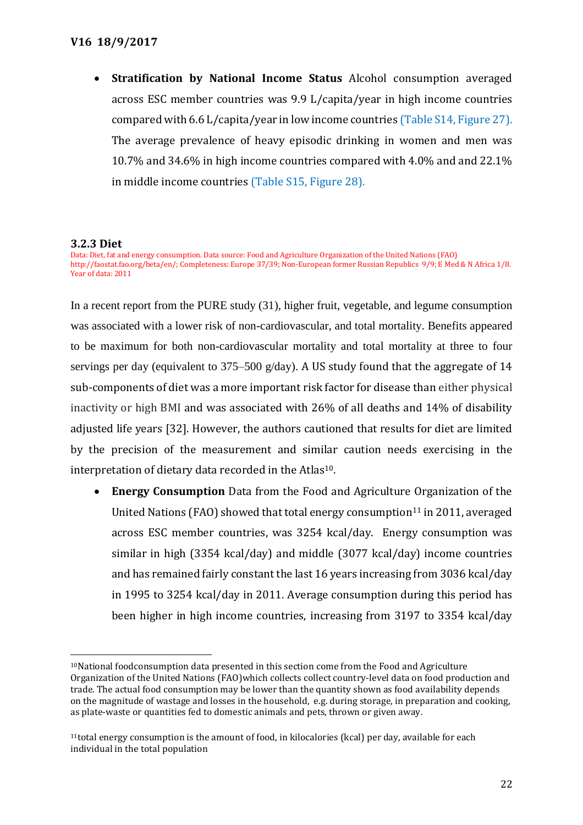**Stratification by National Income Status** Alcohol consumption averaged across ESC member countries was 9.9 L/capita/year in high income countries compared with 6.6 L/capita/year in low income countries (Table S14, Figure 27). The average prevalence of heavy episodic drinking in women and men was 10.7% and 34.6% in high income countries compared with 4.0% and and 22.1% in middle income countries (Table S15, Figure 28).

## **3.2.3 Diet**

 $\overline{a}$ 

Data: Diet, fat and energy consumption. Data source: Food and Agriculture Organization of the United Nations (FAO) [http://faostat.fao.org/beta/en/; C](http://faostat.fao.org/beta/en/;)ompleteness: Europe 37/39; Non-European former Russian Republics 9/9; E Med & N Africa 1/8. Year of data: 2011

In a recent report from the PURE study (31), higher fruit, vegetable, and legume consumption was associated with a lower risk of non-cardiovascular, and total mortality. Benefits appeared to be maximum for both non-cardiovascular mortality and total mortality at three to four servings per day (equivalent to 375–500 g/day). A US study found that the aggregate of 14 sub-components of diet was a more important risk factor for disease than either physical inactivity or high BMI and was associated with 26% of all deaths and 14% of disability adjusted life years [32]. However, the authors cautioned that results for diet are limited by the precision of the measurement and similar caution needs exercising in the interpretation of dietary data recorded in the Atlas<sup>10</sup>.

 **Energy Consumption** Data from the Food and Agriculture Organization of the United Nations (FAO) showed that total energy consumption<sup>11</sup> in 2011, averaged across ESC member countries, was 3254 kcal/day. Energy consumption was similar in high (3354 kcal/day) and middle (3077 kcal/day) income countries and has remained fairly constant the last 16 years increasing from 3036 kcal/day in 1995 to 3254 kcal/day in 2011. Average consumption during this period has been higher in high income countries, increasing from 3197 to 3354 kcal/day

<sup>&</sup>lt;sup>10</sup>National foodconsumption data presented in this section come from the Food and Agriculture Organization of the United Nations (FAO)which collects collect country-level data on food production and trade. The actual food consumption may be lower than the quantity shown as food availability depends on the magnitude of wastage and losses in the household, e.g. during storage, in preparation and cooking, as plate-waste or quantities fed to domestic animals and pets, thrown or given away*.* 

 $11$ total energy consumption is the amount of food, in kilocalories (kcal) per day, available for each individual in the total population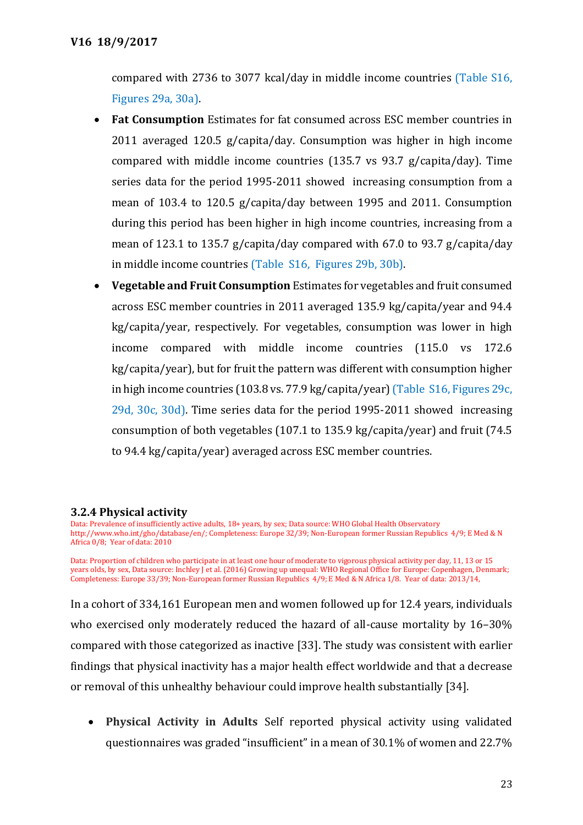compared with 2736 to 3077 kcal/day in middle income countries (Table S16, Figures 29a, 30a).

- **Fat Consumption** Estimates for fat consumed across ESC member countries in 2011 averaged 120.5 g/capita/day. Consumption was higher in high income compared with middle income countries (135.7 vs 93.7 g/capita/day). Time series data for the period 1995-2011 showed increasing consumption from a mean of 103.4 to 120.5 g/capita/day between 1995 and 2011. Consumption during this period has been higher in high income countries, increasing from a mean of 123.1 to 135.7 g/capita/day compared with 67.0 to 93.7 g/capita/day in middle income countries (Table S16, Figures 29b, 30b).
- **Vegetable and Fruit Consumption** Estimates for vegetables and fruit consumed across ESC member countries in 2011 averaged 135.9 kg/capita/year and 94.4 kg/capita/year, respectively. For vegetables, consumption was lower in high income compared with middle income countries (115.0 vs 172.6 kg/capita/year), but for fruit the pattern was different with consumption higher in high income countries (103.8 vs. 77.9 kg/capita/year)(Table S16, Figures 29c, 29d, 30c, 30d). Time series data for the period 1995-2011 showed increasing consumption of both vegetables (107.1 to 135.9 kg/capita/year) and fruit (74.5 to 94.4 kg/capita/year) averaged across ESC member countries.

## **3.2.4 Physical activity**

Data: Prevalence of insufficiently active adults, 18+ years, by sex; Data source: WHO Global Health Observatory [http://www.who.int/gho/database/en/;](http://www.who.int/gho/database/en/) Completeness: Europe 32/39; Non-European former Russian Republics 4/9; E Med & N Africa 0/8; Year of data: 2010

Data: Proportion of children who participate in at least one hour of moderate to vigorous physical activity per day, 11, 13 or 15 years olds, by sex, Data source: Inchley J et al. (2016) Growing up unequal: WHO Regional Office for Europe: Copenhagen, Denmark; Completeness: Europe 33/39; Non-European former Russian Republics 4/9; E Med & N Africa 1/8. Year of data: 2013/14,

In a cohort of 334,161 European men and women followed up for 12.4 years, individuals who exercised only moderately reduced the hazard of all-cause mortality by 16–30% compared with those categorized as inactive [33]. The study was consistent with earlier findings that physical inactivity has a major health effect worldwide and that a decrease or removal of this unhealthy behaviour could improve health substantially [34].

 **Physical Activity in Adults** Self reported physical activity using validated questionnaires was graded "insufficient" in a mean of 30.1% of women and 22.7%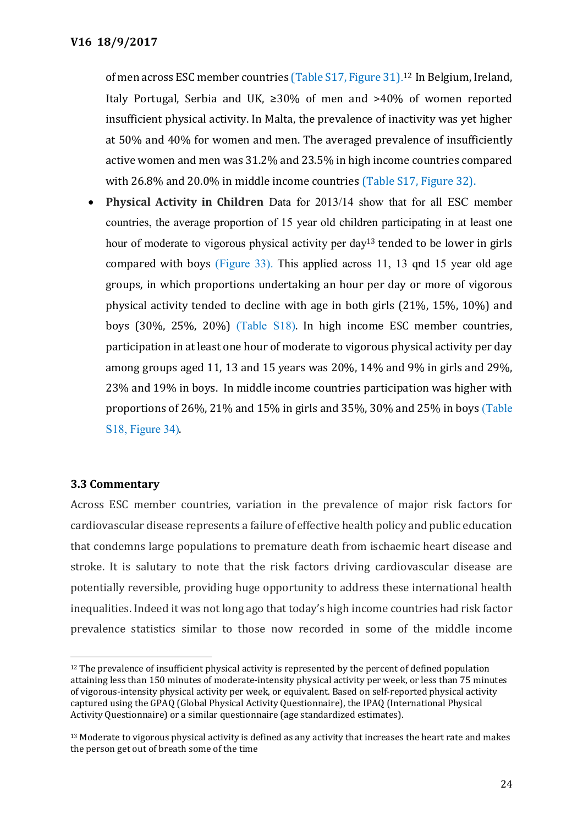of men across ESC member countries (Table S17, Figure 31). <sup>12</sup> In Belgium, Ireland, Italy Portugal, Serbia and UK, ≥30% of men and >40% of women reported insufficient physical activity. In Malta, the prevalence of inactivity was yet higher at 50% and 40% for women and men. The averaged prevalence of insufficiently active women and men was 31.2% and 23.5% in high income countries compared with 26.8% and 20.0% in middle income countries (Table S17, Figure 32).

 **Physical Activity in Children** Data for 2013/14 show that for all ESC member countries, the average proportion of 15 year old children participating in at least one hour of moderate to vigorous physical activity per day<sup>13</sup> tended to be lower in girls compared with boys (Figure 33). This applied across 11, 13 qnd 15 year old age groups, in which proportions undertaking an hour per day or more of vigorous physical activity tended to decline with age in both girls (21%, 15%, 10%) and boys (30%, 25%, 20%) (Table S18). In high income ESC member countries, participation in at least one hour of moderate to vigorous physical activity per day among groups aged 11, 13 and 15 years was 20%, 14% and 9% in girls and 29%, 23% and 19% in boys. In middle income countries participation was higher with proportions of 26%, 21% and 15% in girls and 35%, 30% and 25% in boys (Table S18, Figure 34).

## **3.3 Commentary**

 $\overline{a}$ 

Across ESC member countries, variation in the prevalence of major risk factors for cardiovascular disease represents a failure of effective health policy and public education that condemns large populations to premature death from ischaemic heart disease and stroke. It is salutary to note that the risk factors driving cardiovascular disease are potentially reversible, providing huge opportunity to address these international health inequalities. Indeed it was not long ago that today's high income countries had risk factor prevalence statistics similar to those now recorded in some of the middle income

<sup>&</sup>lt;sup>12</sup> The prevalence of insufficient physical activity is represented by the percent of defined population attaining less than 150 minutes of moderate-intensity physical activity per week, or less than 75 minutes of vigorous-intensity physical activity per week, or equivalent. Based on self-reported physical activity captured using the GPAQ (Global Physical Activity Questionnaire), the IPAQ (International Physical Activity Questionnaire) or a similar questionnaire (age standardized estimates).

<sup>&</sup>lt;sup>13</sup> Moderate to vigorous physical activity is defined as any activity that increases the heart rate and makes the person get out of breath some of the time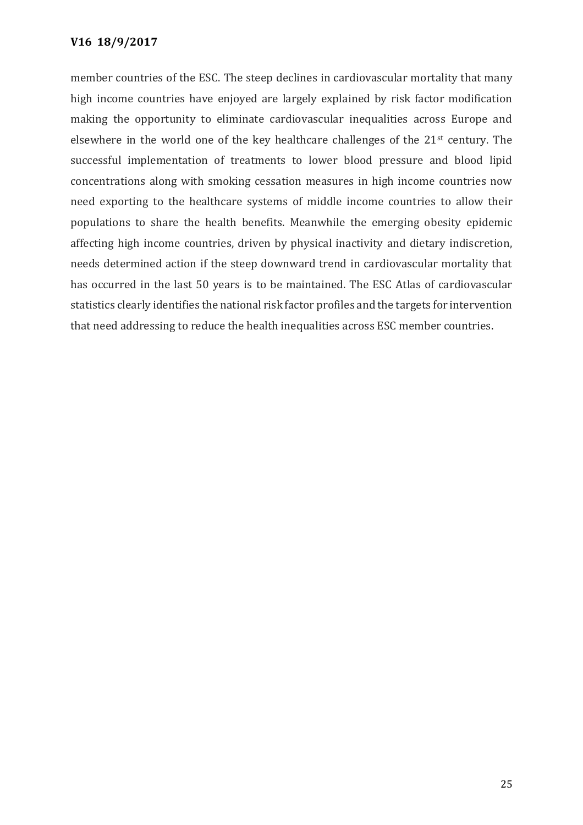member countries of the ESC. The steep declines in cardiovascular mortality that many high income countries have enjoyed are largely explained by risk factor modification making the opportunity to eliminate cardiovascular inequalities across Europe and elsewhere in the world one of the key healthcare challenges of the 21st century. The successful implementation of treatments to lower blood pressure and blood lipid concentrations along with smoking cessation measures in high income countries now need exporting to the healthcare systems of middle income countries to allow their populations to share the health benefits. Meanwhile the emerging obesity epidemic affecting high income countries, driven by physical inactivity and dietary indiscretion, needs determined action if the steep downward trend in cardiovascular mortality that has occurred in the last 50 years is to be maintained. The ESC Atlas of cardiovascular statistics clearly identifies the national risk factor profiles and the targets for intervention that need addressing to reduce the health inequalities across ESC member countries.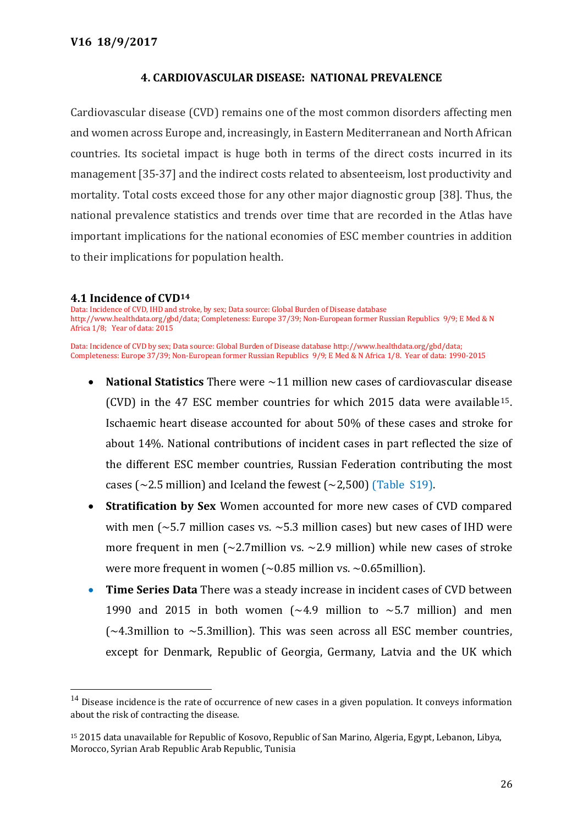## **4. CARDIOVASCULAR DISEASE: NATIONAL PREVALENCE**

Cardiovascular disease (CVD) remains one of the most common disorders affecting men and women across Europe and, increasingly, in Eastern Mediterranean and North African countries. Its societal impact is huge both in terms of the direct costs incurred in its management [35-37] and the indirect costs related to absenteeism, lost productivity and mortality. Total costs exceed those for any other major diagnostic group [38]. Thus, the national prevalence statistics and trends over time that are recorded in the Atlas have important implications for the national economies of ESC member countries in addition to their implications for population health.

## **4.1 Incidence of CVD<sup>14</sup>**

 $\overline{a}$ 

Data: Incidence of CVD, IHD and stroke, by sex; Data source: Global Burden of Disease database http://www.healthdata.org/gbd/data; Completeness: Europe 37/39; Non-European former Russian Republics 9/9; E Med & N Africa 1/8; Year of data: 2015

Data: Incidence of CVD by sex; Data source: Global Burden of Disease databas[e http://www.healthdata.org/gbd/data;](http://www.healthdata.org/gbd/data) Completeness: Europe 37/39; Non-European former Russian Republics 9/9; E Med & N Africa 1/8. Year of data: 1990-2015

- **National Statistics** There were ~11 million new cases of cardiovascular disease (CVD) in the 47 ESC member countries for which 2015 data were available15. Ischaemic heart disease accounted for about 50% of these cases and stroke for about 14%. National contributions of incident cases in part reflected the size of the different ESC member countries, Russian Federation contributing the most cases ( $\sim$ 2.5 million) and Iceland the fewest ( $\sim$ 2,500) (Table S19).
- **Stratification by Sex** Women accounted for more new cases of CVD compared with men ( $\sim$ 5.7 million cases vs.  $\sim$ 5.3 million cases) but new cases of IHD were more frequent in men ( $\sim$ 2.7 million vs.  $\sim$ 2.9 million) while new cases of stroke were more frequent in women  $\sim 0.85$  million vs.  $\sim 0.65$ million).
- **Time Series Data** There was a steady increase in incident cases of CVD between 1990 and 2015 in both women  $\left(\sim 4.9 \right)$  million to  $\sim 5.7$  million) and men  $\sim$  4.3million to  $\sim$  5.3million). This was seen across all ESC member countries, except for Denmark, Republic of Georgia, Germany, Latvia and the UK which

 $14$  Disease incidence is the rate of occurrence of new cases in a given population. It conveys information about the risk of contracting the disease.

<sup>15</sup> 2015 data unavailable for Republic of Kosovo, Republic of San Marino, Algeria, Egypt, Lebanon, Libya, Morocco, Syrian Arab Republic Arab Republic, Tunisia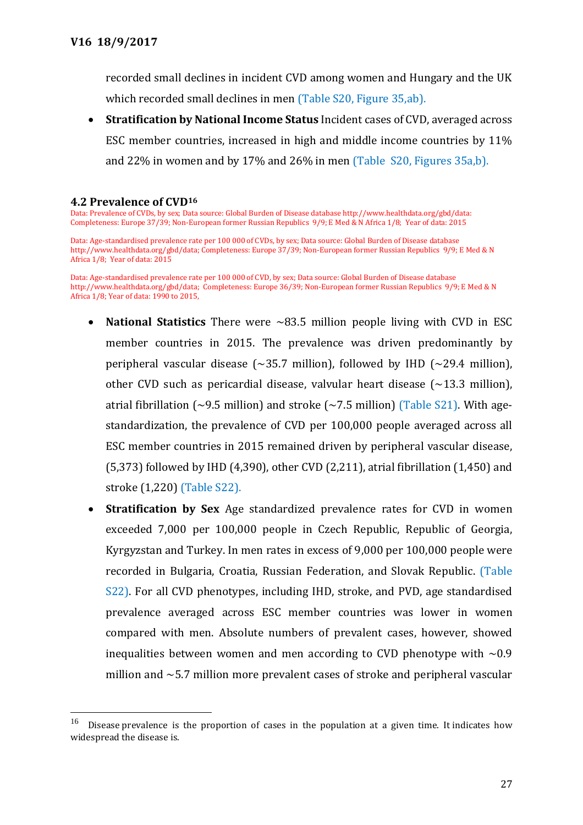recorded small declines in incident CVD among women and Hungary and the UK which recorded small declines in men (Table S20, Figure 35,ab).

 **Stratification by National Income Status** Incident cases of CVD, averaged across ESC member countries, increased in high and middle income countries by 11% and 22% in women and by 17% and 26% in men (Table S20, Figures 35a,b).

#### **4.2 Prevalence of CVD<sup>16</sup>**

 $\overline{a}$ 

Data: Prevalence of CVDs, by sex; Data source: Global Burden of Disease databas[e http://www.healthdata.org/gbd/data:](http://www.healthdata.org/gbd/data)  Completeness: Europe 37/39; Non-European former Russian Republics 9/9; E Med & N Africa 1/8; Year of data: 2015

Data: Age-standardised prevalence rate per 100 000 of CVDs, by sex; Data source: Global Burden of Disease database http://www.healthdata.org/gbd/data; Completeness: Europe 37/39; Non-European former Russian Republics 9/9; E Med & N Africa 1/8; Year of data: 2015

Data: Age-standardised prevalence rate per 100 000 of CVD, by sex; Data source: Global Burden of Disease database http://www.healthdata.org/gbd/data; Completeness: Europe 36/39; Non-European former Russian Republics 9/9; E Med & N Africa 1/8; Year of data: 1990 to 2015,

- **National Statistics** There were ~83.5 million people living with CVD in ESC member countries in 2015. The prevalence was driven predominantly by peripheral vascular disease ( $\sim$ 35.7 million), followed by IHD ( $\sim$ 29.4 million), other CVD such as pericardial disease, valvular heart disease  $(\sim 13.3 \text{ million})$ , atrial fibrillation (~9.5 million) and stroke (~7.5 million) (Table  $\frac{521}{1}$ . With agestandardization, the prevalence of CVD per 100,000 people averaged across all ESC member countries in 2015 remained driven by peripheral vascular disease, (5,373) followed by IHD (4,390), other CVD (2,211), atrial fibrillation (1,450) and stroke (1,220) (Table S22).
- **Stratification by Sex** Age standardized prevalence rates for CVD in women exceeded 7,000 per 100,000 people in Czech Republic, Republic of Georgia, Kyrgyzstan and Turkey. In men rates in excess of 9,000 per 100,000 people were recorded in Bulgaria, Croatia, Russian Federation, and Slovak Republic. (Table S22). For all CVD phenotypes, including IHD, stroke, and PVD, age standardised prevalence averaged across ESC member countries was lower in women compared with men. Absolute numbers of prevalent cases, however, showed inequalities between women and men according to CVD phenotype with  $\sim 0.9$ million and ~5.7 million more prevalent cases of stroke and peripheral vascular

<sup>&</sup>lt;sup>16</sup> Disease prevalence is the proportion of cases in the population at a given time. It indicates how widespread the disease is.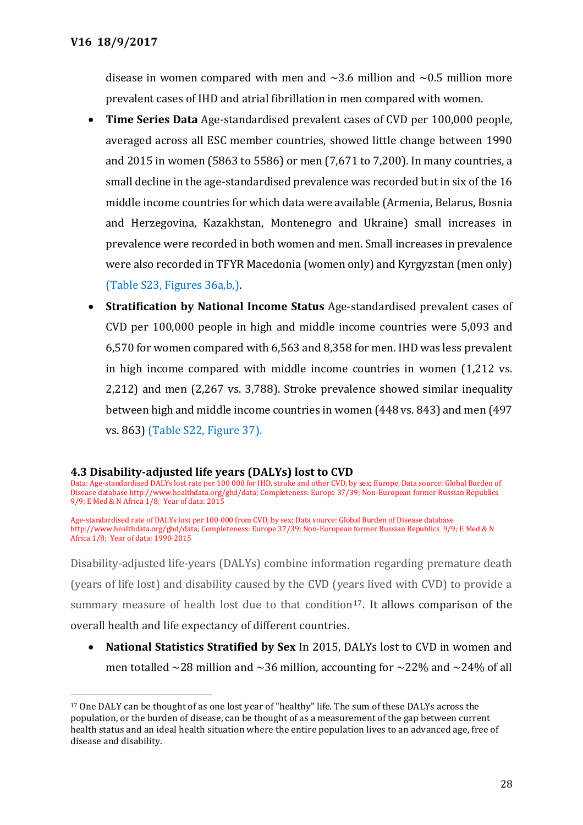$\overline{a}$ 

disease in women compared with men and  $\sim$ 3.6 million and  $\sim$ 0.5 million more prevalent cases of IHD and atrial fibrillation in men compared with women.

- **Time Series Data** Age-standardised prevalent cases of CVD per 100,000 people, averaged across all ESC member countries, showed little change between 1990 and 2015 in women (5863 to 5586) or men (7,671 to 7,200). In many countries, a small decline in the age-standardised prevalence was recorded but in six of the 16 middle income countries for which data were available (Armenia, Belarus, Bosnia and Herzegovina, Kazakhstan, Montenegro and Ukraine) small increases in prevalence were recorded in both women and men. Small increases in prevalence were also recorded in TFYR Macedonia (women only) and Kyrgyzstan (men only) (Table S23, Figures 36a,b,).
- **Stratification by National Income Status** Age-standardised prevalent cases of CVD per 100,000 people in high and middle income countries were 5,093 and 6,570 for women compared with 6,563 and 8,358 for men. IHD was less prevalent in high income compared with middle income countries in women (1,212 vs. 2,212) and men (2,267 vs. 3,788). Stroke prevalence showed similar inequality between high and middle income countries in women (448 vs. 843) and men (497 vs. 863) (Table S22, Figure 37).

## **4.3 Disability-adjusted life years (DALYs) lost to CVD**

Data: Age-standardised DALYs lost rate per 100 000 for IHD, stroke and other CVD, by sex; Europe, Data source: Global Burden of Disease database http://www.healthdata.org/gbd/data; Completeness: Europe 37/39; Non-European former Russian Republics 9/9; E Med & N Africa 1/8; Year of data: 2015

Age-standardised rate of DALYs lost per 100 000 from CVD, by sex; Data source: Global Burden of Disease database http://www.healthdata.org/gbd/data; Completeness: Europe 37/39; Non-European former Russian Republics 9/9; E Med & N Africa 1/8; Year of data: 1990-2015

Disability-adjusted life-years (DALYs) combine information regarding premature death (years of life lost) and disability caused by the CVD (years lived with CVD) to provide a summary measure of health lost due to that condition<sup>17</sup>. It allows comparison of the overall health and life expectancy of different countries.

 **National Statistics Stratified by Sex** In 2015, DALYs lost to CVD in women and men totalled  $\sim$ 28 million and  $\sim$ 36 million, accounting for  $\sim$ 22% and  $\sim$ 24% of all

<sup>17</sup> One DALY can be thought of as one lost year of "healthy" life. The sum of these DALYs across the population, or the burden of disease, can be thought of as a measurement of the gap between current health status and an ideal health situation where the entire population lives to an advanced age, free of disease and disability.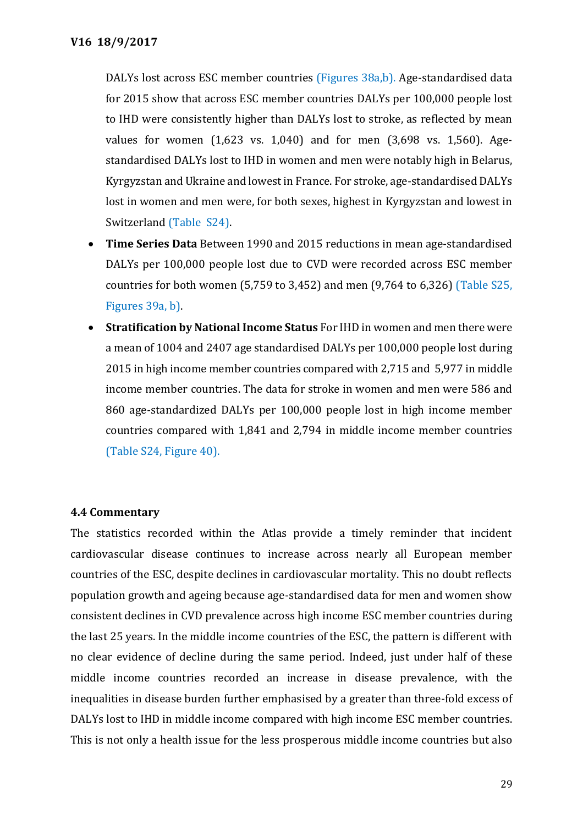DALYs lost across ESC member countries (Figures 38a,b). Age-standardised data for 2015 show that across ESC member countries DALYs per 100,000 people lost to IHD were consistently higher than DALYs lost to stroke, as reflected by mean values for women (1,623 vs. 1,040) and for men (3,698 vs. 1,560). Agestandardised DALYs lost to IHD in women and men were notably high in Belarus, Kyrgyzstan and Ukraine and lowest in France. For stroke, age-standardised DALYs lost in women and men were, for both sexes, highest in Kyrgyzstan and lowest in Switzerland (Table S24).

- **Time Series Data** Between 1990 and 2015 reductions in mean age-standardised DALYs per 100,000 people lost due to CVD were recorded across ESC member countries for both women (5,759 to 3,452) and men (9,764 to 6,326) (Table S25, Figures 39a, b).
- **Stratification by National Income Status** For IHD in women and men there were a mean of 1004 and 2407 age standardised DALYs per 100,000 people lost during 2015 in high income member countries compared with 2,715 and 5,977 in middle income member countries. The data for stroke in women and men were 586 and 860 age-standardized DALYs per 100,000 people lost in high income member countries compared with 1,841 and 2,794 in middle income member countries (Table S24, Figure 40).

## **4.4 Commentary**

The statistics recorded within the Atlas provide a timely reminder that incident cardiovascular disease continues to increase across nearly all European member countries of the ESC, despite declines in cardiovascular mortality. This no doubt reflects population growth and ageing because age-standardised data for men and women show consistent declines in CVD prevalence across high income ESC member countries during the last 25 years. In the middle income countries of the ESC, the pattern is different with no clear evidence of decline during the same period. Indeed, just under half of these middle income countries recorded an increase in disease prevalence, with the inequalities in disease burden further emphasised by a greater than three-fold excess of DALYs lost to IHD in middle income compared with high income ESC member countries. This is not only a health issue for the less prosperous middle income countries but also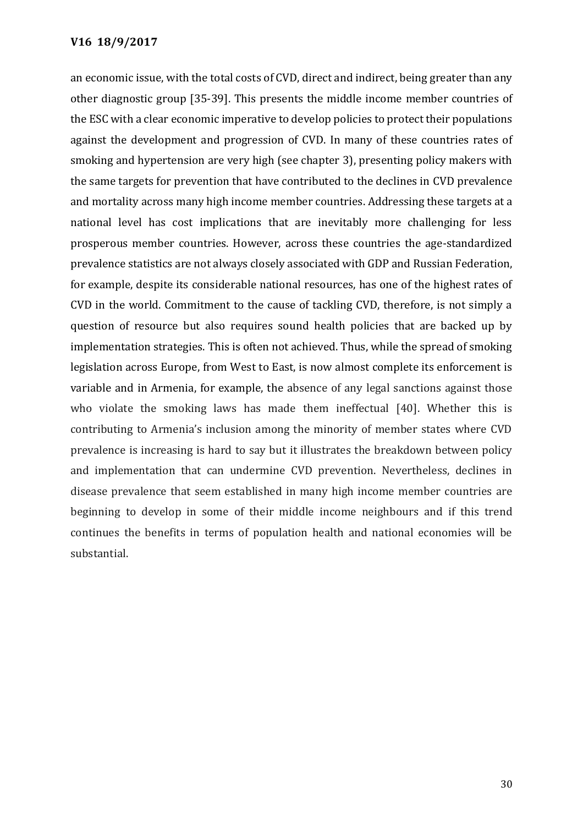an economic issue, with the total costs of CVD, direct and indirect, being greater than any other diagnostic group [35-39]. This presents the middle income member countries of the ESC with a clear economic imperative to develop policies to protect their populations against the development and progression of CVD. In many of these countries rates of smoking and hypertension are very high (see chapter 3), presenting policy makers with the same targets for prevention that have contributed to the declines in CVD prevalence and mortality across many high income member countries. Addressing these targets at a national level has cost implications that are inevitably more challenging for less prosperous member countries. However, across these countries the age-standardized prevalence statistics are not always closely associated with GDP and Russian Federation, for example, despite its considerable national resources, has one of the highest rates of CVD in the world. Commitment to the cause of tackling CVD, therefore, is not simply a question of resource but also requires sound health policies that are backed up by implementation strategies. This is often not achieved. Thus, while the spread of smoking legislation across Europe, from West to East, is now almost complete its enforcement is variable and in Armenia, for example, the absence of any legal sanctions against those who violate the smoking laws has made them ineffectual [40]. Whether this is contributing to Armenia's inclusion among the minority of member states where CVD prevalence is increasing is hard to say but it illustrates the breakdown between policy and implementation that can undermine CVD prevention. Nevertheless, declines in disease prevalence that seem established in many high income member countries are beginning to develop in some of their middle income neighbours and if this trend continues the benefits in terms of population health and national economies will be substantial.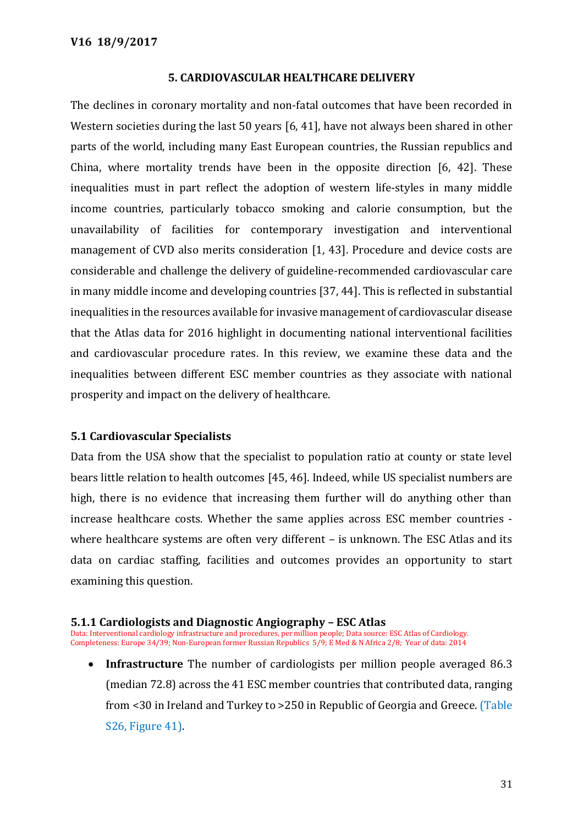#### **5. CARDIOVASCULAR HEALTHCARE DELIVERY**

The declines in coronary mortality and non-fatal outcomes that have been recorded in Western societies during the last 50 years [6, 41], have not always been shared in other parts of the world, including many East European countries, the Russian republics and China, where mortality trends have been in the opposite direction [6, 42]. These inequalities must in part reflect the adoption of western life-styles in many middle income countries, particularly tobacco smoking and calorie consumption, but the unavailability of facilities for contemporary investigation and interventional management of CVD also merits consideration [1, 43]. Procedure and device costs are considerable and challenge the delivery of guideline-recommended cardiovascular care in many middle income and developing countries [37, 44]. This is reflected in substantial inequalities in the resources available for invasive management of cardiovascular disease that the Atlas data for 2016 highlight in documenting national interventional facilities and cardiovascular procedure rates. In this review, we examine these data and the inequalities between different ESC member countries as they associate with national prosperity and impact on the delivery of healthcare.

## **5.1 Cardiovascular Specialists**

Data from the USA show that the specialist to population ratio at county or state level bears little relation to health outcomes [45, 46]. Indeed, while US specialist numbers are high, there is no evidence that increasing them further will do anything other than increase healthcare costs. Whether the same applies across ESC member countries where healthcare systems are often very different – is unknown. The ESC Atlas and its data on cardiac staffing, facilities and outcomes provides an opportunity to start examining this question.

#### **5.1.1 Cardiologists and Diagnostic Angiography – ESC Atlas**

Data: Interventional cardiology infrastructure and procedures, per million people; Data source: ESC Atlas of Cardiology. Completeness: Europe 34/39; Non-European former Russian Republics 5/9; E Med & N Africa 2/8; Year of data: 2014

 **Infrastructure** The number of cardiologists per million people averaged 86.3 (median 72.8) across the 41 ESC member countries that contributed data, ranging from <30 in Ireland and Turkey to >250 in Republic of Georgia and Greece. (Table S26, Figure 41).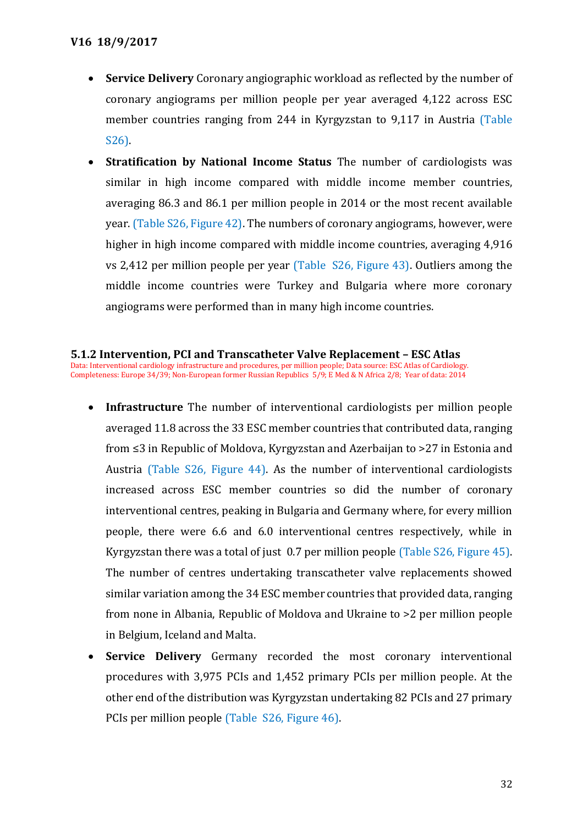- **Service Delivery** Coronary angiographic workload as reflected by the number of coronary angiograms per million people per year averaged 4,122 across ESC member countries ranging from 244 in Kyrgyzstan to 9,117 in Austria (Table S26).
- **Stratification by National Income Status** The number of cardiologists was similar in high income compared with middle income member countries, averaging 86.3 and 86.1 per million people in 2014 or the most recent available year. (Table S26, Figure 42). The numbers of coronary angiograms, however, were higher in high income compared with middle income countries, averaging 4,916 vs 2,412 per million people per year (Table S26, Figure 43). Outliers among the middle income countries were Turkey and Bulgaria where more coronary angiograms were performed than in many high income countries.

## **5.1.2 Intervention, PCI and Transcatheter Valve Replacement – ESC Atlas**

Data: Interventional cardiology infrastructure and procedures, per million people; Data source: ESC Atlas of Cardiology. Completeness: Europe 34/39; Non-European former Russian Republics 5/9; E Med & N Africa 2/8; Year of data: 2014

- **Infrastructure** The number of interventional cardiologists per million people averaged 11.8 across the 33 ESC member countries that contributed data, ranging from ≤3 in Republic of Moldova, Kyrgyzstan and Azerbaijan to >27 in Estonia and Austria (Table S26, Figure 44). As the number of interventional cardiologists increased across ESC member countries so did the number of coronary interventional centres, peaking in Bulgaria and Germany where, for every million people, there were 6.6 and 6.0 interventional centres respectively, while in Kyrgyzstan there was a total of just 0.7 per million people (Table S26, Figure 45). The number of centres undertaking transcatheter valve replacements showed similar variation among the 34 ESC member countries that provided data, ranging from none in Albania, Republic of Moldova and Ukraine to >2 per million people in Belgium, Iceland and Malta.
- **Service Delivery** Germany recorded the most coronary interventional procedures with 3,975 PCIs and 1,452 primary PCIs per million people. At the other end of the distribution was Kyrgyzstan undertaking 82 PCIs and 27 primary PCIs per million people (Table S26, Figure 46).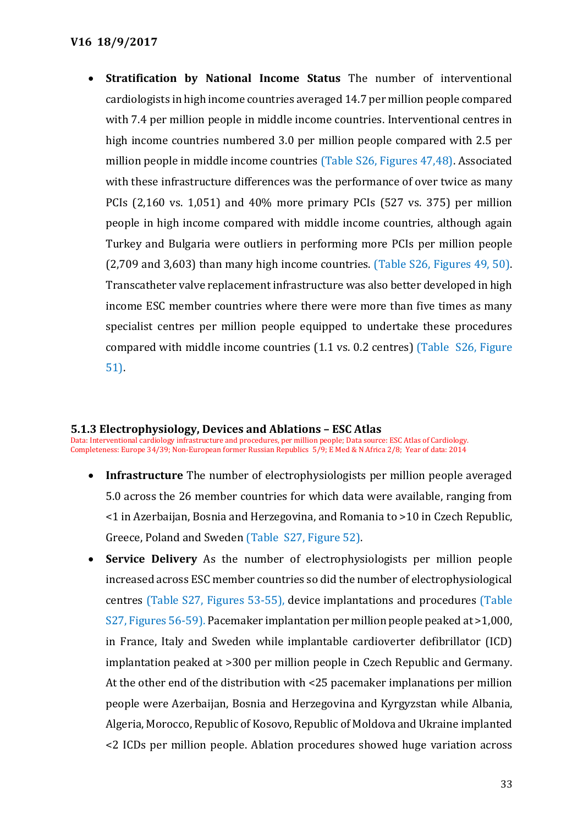**Stratification by National Income Status** The number of interventional cardiologists in high income countries averaged 14.7 per million people compared with 7.4 per million people in middle income countries. Interventional centres in high income countries numbered 3.0 per million people compared with 2.5 per million people in middle income countries (Table S26, Figures 47,48). Associated with these infrastructure differences was the performance of over twice as many PCIs (2,160 vs. 1,051) and 40% more primary PCIs (527 vs. 375) per million people in high income compared with middle income countries, although again Turkey and Bulgaria were outliers in performing more PCIs per million people (2,709 and 3,603) than many high income countries. (Table S26, Figures 49, 50). Transcatheter valve replacement infrastructure was also better developed in high income ESC member countries where there were more than five times as many specialist centres per million people equipped to undertake these procedures compared with middle income countries (1.1 vs. 0.2 centres) (Table S26, Figure 51).

#### **5.1.3 Electrophysiology, Devices and Ablations – ESC Atlas**

Data: Interventional cardiology infrastructure and procedures, per million people; Data source: ESC Atlas of Cardiology. Completeness: Europe 34/39; Non-European former Russian Republics 5/9; E Med & N Africa 2/8; Year of data: 2014

- **Infrastructure** The number of electrophysiologists per million people averaged 5.0 across the 26 member countries for which data were available, ranging from <1 in Azerbaijan, Bosnia and Herzegovina, and Romania to >10 in Czech Republic, Greece, Poland and Sweden (Table S27, Figure 52).
- **Service Delivery** As the number of electrophysiologists per million people increased across ESC member countries so did the number of electrophysiological centres (Table S27, Figures 53-55), device implantations and procedures (Table S27, Figures 56-59). Pacemaker implantation per million people peaked at >1,000, in France, Italy and Sweden while implantable cardioverter defibrillator (ICD) implantation peaked at >300 per million people in Czech Republic and Germany. At the other end of the distribution with <25 pacemaker implanations per million people were Azerbaijan, Bosnia and Herzegovina and Kyrgyzstan while Albania, Algeria, Morocco, Republic of Kosovo, Republic of Moldova and Ukraine implanted <2 ICDs per million people. Ablation procedures showed huge variation across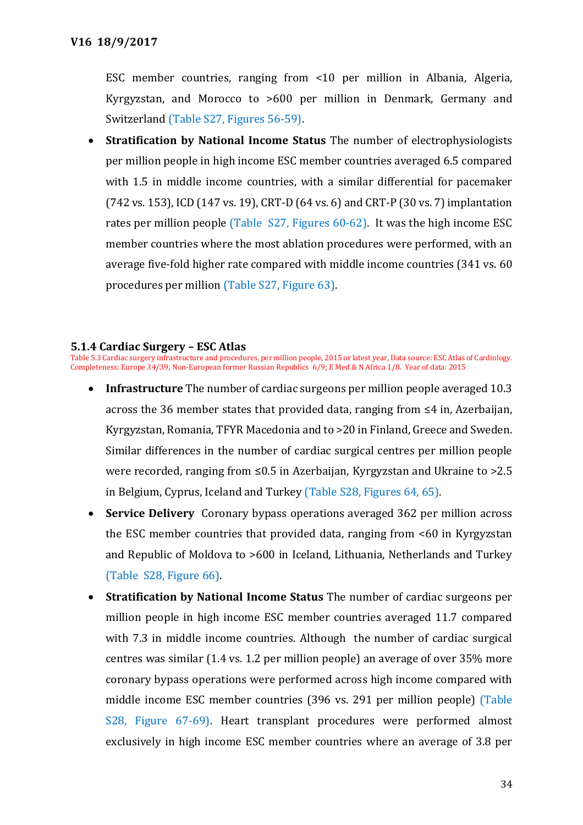ESC member countries, ranging from <10 per million in Albania, Algeria, Kyrgyzstan, and Morocco to >600 per million in Denmark, Germany and Switzerland (Table S27, Figures 56-59).

 **Stratification by National Income Status** The number of electrophysiologists per million people in high income ESC member countries averaged 6.5 compared with 1.5 in middle income countries, with a similar differential for pacemaker (742 vs. 153), ICD (147 vs. 19), CRT-D (64 vs. 6) and CRT-P (30 vs. 7) implantation rates per million people (Table S27, Figures 60-62). It was the high income ESC member countries where the most ablation procedures were performed, with an average five-fold higher rate compared with middle income countries (341 vs. 60 procedures per million (Table S27, Figure 63).

#### **5.1.4 Cardiac Surgery – ESC Atlas**

Table 5.3 Cardiac surgery infrastructure and procedures, per million people, 2015 or latest year, Data source: ESC Atlas of Cardiology. Completeness: Europe 34/39; Non-European former Russian Republics 6/9; E Med & N Africa 1/8. Year of data: 2015

- **Infrastructure** The number of cardiac surgeons per million people averaged 10.3 across the 36 member states that provided data, ranging from ≤4 in, Azerbaijan, Kyrgyzstan, Romania, TFYR Macedonia and to >20 in Finland, Greece and Sweden. Similar differences in the number of cardiac surgical centres per million people were recorded, ranging from ≤0.5 in Azerbaijan, Kyrgyzstan and Ukraine to >2.5 in Belgium, Cyprus, Iceland and Turkey (Table S28, Figures 64, 65).
- **Service Delivery** Coronary bypass operations averaged 362 per million across the ESC member countries that provided data, ranging from <60 in Kyrgyzstan and Republic of Moldova to >600 in Iceland, Lithuania, Netherlands and Turkey (Table S28, Figure 66).
- **Stratification by National Income Status** The number of cardiac surgeons per million people in high income ESC member countries averaged 11.7 compared with 7.3 in middle income countries. Although the number of cardiac surgical centres was similar (1.4 vs. 1.2 per million people) an average of over 35% more coronary bypass operations were performed across high income compared with middle income ESC member countries (396 vs. 291 per million people) (Table S28, Figure 67-69). Heart transplant procedures were performed almost exclusively in high income ESC member countries where an average of 3.8 per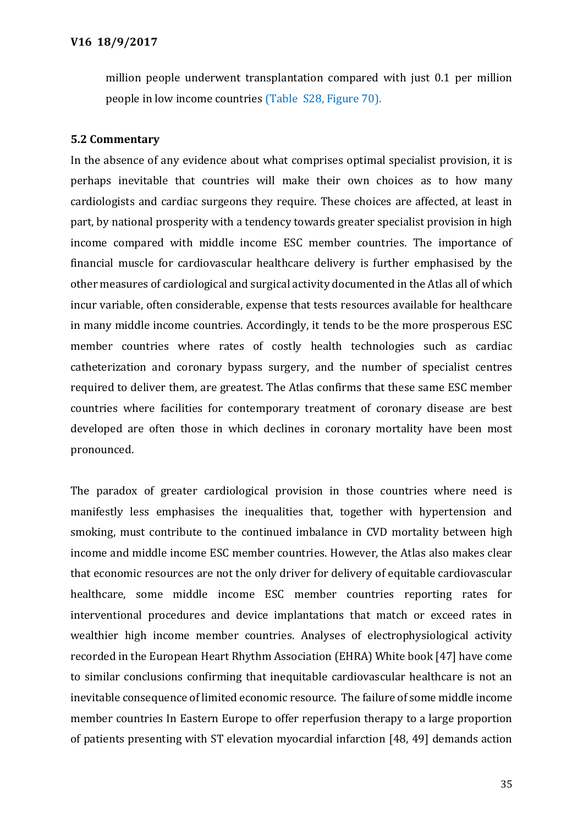million people underwent transplantation compared with just 0.1 per million people in low income countries (Table S28, Figure 70).

## **5.2 Commentary**

In the absence of any evidence about what comprises optimal specialist provision, it is perhaps inevitable that countries will make their own choices as to how many cardiologists and cardiac surgeons they require. These choices are affected, at least in part, by national prosperity with a tendency towards greater specialist provision in high income compared with middle income ESC member countries. The importance of financial muscle for cardiovascular healthcare delivery is further emphasised by the other measures of cardiological and surgical activity documented in the Atlas all of which incur variable, often considerable, expense that tests resources available for healthcare in many middle income countries. Accordingly, it tends to be the more prosperous ESC member countries where rates of costly health technologies such as cardiac catheterization and coronary bypass surgery, and the number of specialist centres required to deliver them, are greatest. The Atlas confirms that these same ESC member countries where facilities for contemporary treatment of coronary disease are best developed are often those in which declines in coronary mortality have been most pronounced.

The paradox of greater cardiological provision in those countries where need is manifestly less emphasises the inequalities that, together with hypertension and smoking, must contribute to the continued imbalance in CVD mortality between high income and middle income ESC member countries. However, the Atlas also makes clear that economic resources are not the only driver for delivery of equitable cardiovascular healthcare, some middle income ESC member countries reporting rates for interventional procedures and device implantations that match or exceed rates in wealthier high income member countries. Analyses of electrophysiological activity recorded in the European Heart Rhythm Association (EHRA) White book [47] have come to similar conclusions confirming that inequitable cardiovascular healthcare is not an inevitable consequence of limited economic resource. The failure of some middle income member countries In Eastern Europe to offer reperfusion therapy to a large proportion of patients presenting with ST elevation myocardial infarction [48, 49] demands action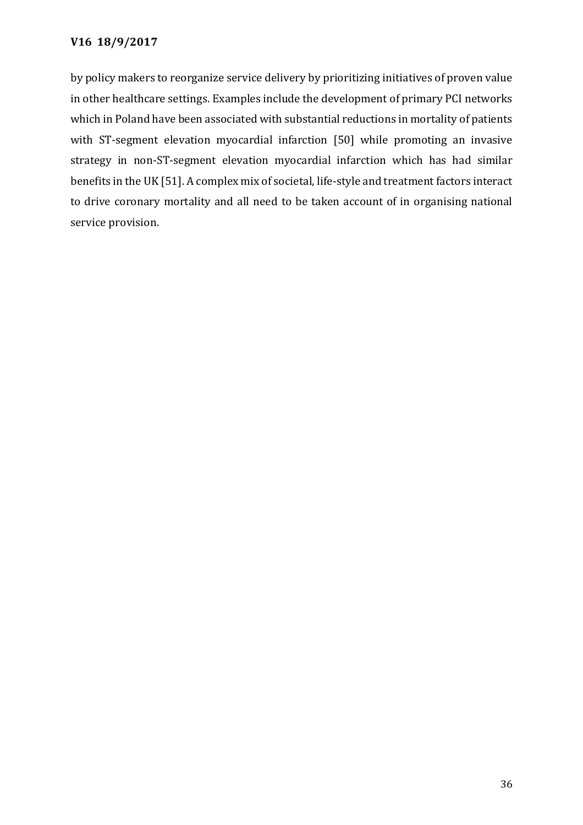by policy makers to reorganize service delivery by prioritizing initiatives of proven value in other healthcare settings. Examples include the development of primary PCI networks which in Poland have been associated with substantial reductions in mortality of patients with ST-segment elevation myocardial infarction [50] while promoting an invasive strategy in non-ST-segment elevation myocardial infarction which has had similar benefits in the UK [51]. A complex mix of societal, life-style and treatment factors interact to drive coronary mortality and all need to be taken account of in organising national service provision.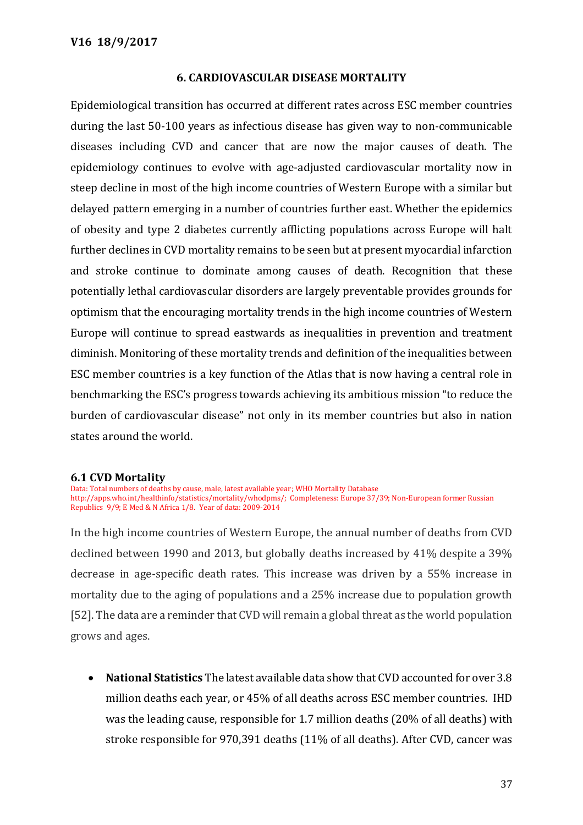## **6. CARDIOVASCULAR DISEASE MORTALITY**

Epidemiological transition has occurred at different rates across ESC member countries during the last 50-100 years as infectious disease has given way to non-communicable diseases including CVD and cancer that are now the major causes of death. The epidemiology continues to evolve with age-adjusted cardiovascular mortality now in steep decline in most of the high income countries of Western Europe with a similar but delayed pattern emerging in a number of countries further east. Whether the epidemics of obesity and type 2 diabetes currently afflicting populations across Europe will halt further declines in CVD mortality remains to be seen but at present myocardial infarction and stroke continue to dominate among causes of death. Recognition that these potentially lethal cardiovascular disorders are largely preventable provides grounds for optimism that the encouraging mortality trends in the high income countries of Western Europe will continue to spread eastwards as inequalities in prevention and treatment diminish. Monitoring of these mortality trends and definition of the inequalities between ESC member countries is a key function of the Atlas that is now having a central role in benchmarking the ESC's progress towards achieving its ambitious mission "to reduce the burden of cardiovascular disease" not only in its member countries but also in nation states around the world.

#### **6.1 CVD Mortality**

Data: Total numbers of deaths by cause, male, latest available year; WHO Mortality Database http://apps.who.int/healthinfo/statistics/mortality/whodpms/; Completeness: Europe 37/39; Non-European former Russian Republics 9/9; E Med & N Africa 1/8. Year of data: 2009-2014

In the high income countries of Western Europe, the annual number of deaths from CVD declined between 1990 and 2013, but globally deaths increased by 41% despite a 39% decrease in age-specific death rates. This increase was driven by a 55% increase in mortality due to the aging of populations and a 25% increase due to population growth [52]. The data are a reminder that CVD will remain a global threat as the world population grows and ages.

 **National Statistics** The latest available data show that CVD accounted for over 3.8 million deaths each year, or 45% of all deaths across ESC member countries. IHD was the leading cause, responsible for 1.7 million deaths (20% of all deaths) with stroke responsible for 970,391 deaths (11% of all deaths). After CVD, cancer was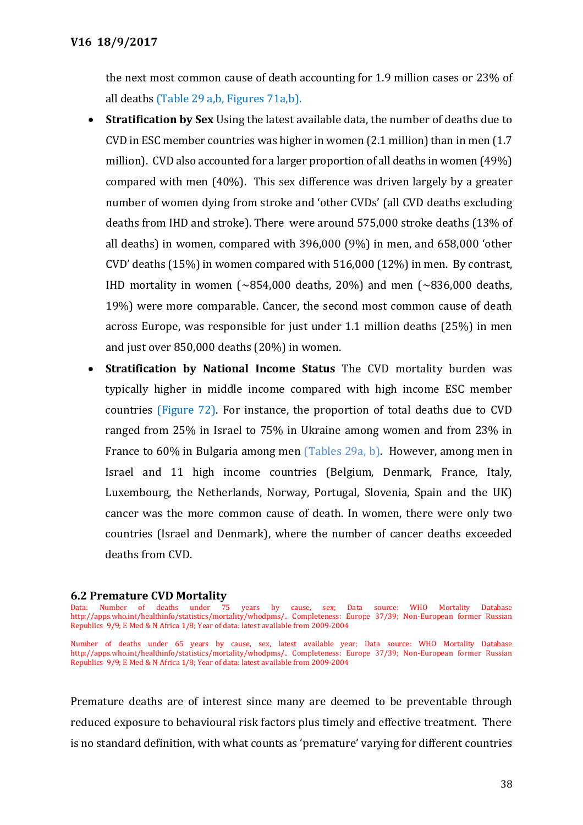the next most common cause of death accounting for 1.9 million cases or 23% of all deaths (Table 29 a,b, Figures 71a,b).

- **Stratification by Sex** Using the latest available data, the number of deaths due to CVD in ESC member countries was higher in women (2.1 million) than in men (1.7 million). CVD also accounted for a larger proportion of all deaths in women (49%) compared with men (40%). This sex difference was driven largely by a greater number of women dying from stroke and 'other CVDs' (all CVD deaths excluding deaths from IHD and stroke). There were around 575,000 stroke deaths (13% of all deaths) in women, compared with 396,000 (9%) in men, and 658,000 'other CVD' deaths (15%) in women compared with 516,000 (12%) in men. By contrast, IHD mortality in women  $\left(\sim 854,000$  deaths, 20%) and men  $\left(\sim 836,000\right)$  deaths, 19%) were more comparable. Cancer, the second most common cause of death across Europe, was responsible for just under 1.1 million deaths (25%) in men and just over 850,000 deaths (20%) in women.
- **Stratification by National Income Status** The CVD mortality burden was typically higher in middle income compared with high income ESC member countries (Figure 72). For instance, the proportion of total deaths due to CVD ranged from 25% in Israel to 75% in Ukraine among women and from 23% in France to 60% in Bulgaria among men (Tables 29a, b). However, among men in Israel and 11 high income countries (Belgium, Denmark, France, Italy, Luxembourg, the Netherlands, Norway, Portugal, Slovenia, Spain and the UK) cancer was the more common cause of death. In women, there were only two countries (Israel and Denmark), where the number of cancer deaths exceeded deaths from CVD.

# **6.2 Premature CVD Mortality**<br>Data: Number of deaths under 75

Premature deaths are of interest since many are deemed to be preventable through reduced exposure to behavioural risk factors plus timely and effective treatment. There is no standard definition, with what counts as 'premature' varying for different countries

years by cause, sex; Data source: WHO Mortality Database http://apps.who.int/healthinfo/statistics/mortality/whodpms/.. Completeness: Europe 37/39; Non-European former Russian Republics 9/9; E Med & N Africa 1/8; Year of data: latest available from 2009-2004

Number of deaths under 65 years by cause, sex, latest available year; Data source: WHO Mortality Database http://apps.who.int/healthinfo/statistics/mortality/whodpms/.. Completeness: Europe 37/39; Non-European former Russian Republics 9/9; E Med & N Africa 1/8; Year of data: latest available from 2009-2004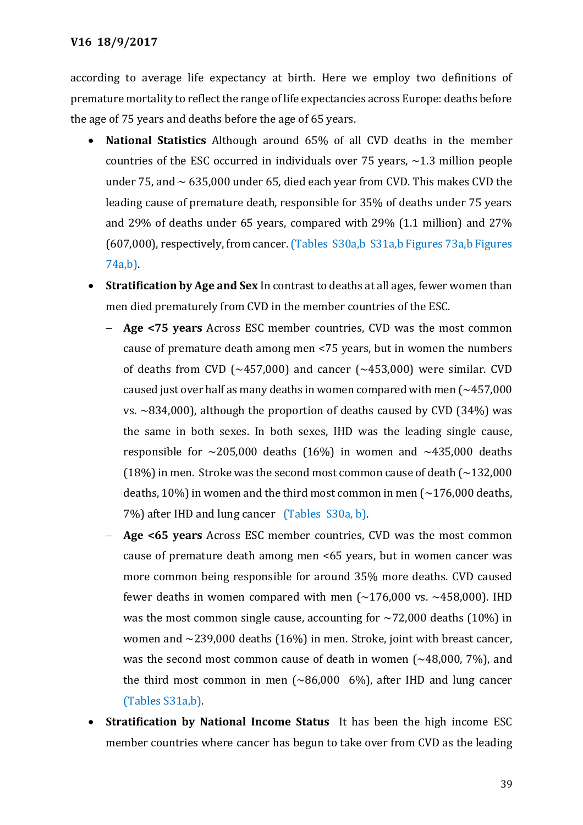according to average life expectancy at birth. Here we employ two definitions of premature mortality to reflect the range of life expectancies across Europe: deaths before the age of 75 years and deaths before the age of 65 years.

- **National Statistics** Although around 65% of all CVD deaths in the member countries of the ESC occurred in individuals over 75 years,  $\sim$ 1.3 million people under 75, and  $\sim$  635,000 under 65, died each year from CVD. This makes CVD the leading cause of premature death, responsible for 35% of deaths under 75 years and 29% of deaths under 65 years, compared with 29% (1.1 million) and 27% (607,000), respectively, from cancer.(Tables S30a,b S31a,b Figures 73a,b Figures 74a,b).
- **Stratification by Age and Sex** In contrast to deaths at all ages, fewer women than men died prematurely from CVD in the member countries of the ESC.
	- **Age <75 years** Across ESC member countries, CVD was the most common cause of premature death among men <75 years, but in women the numbers of deaths from CVD ( $\sim$ 457,000) and cancer ( $\sim$ 453,000) were similar. CVD caused just over half as many deaths in women compared with men  $($   $\sim$  457,000 vs.  $\sim$ 834,000), although the proportion of deaths caused by CVD (34%) was the same in both sexes. In both sexes, IHD was the leading single cause, responsible for  $\sim$ 205,000 deaths (16%) in women and  $\sim$ 435,000 deaths (18%) in men. Stroke was the second most common cause of death  $\sim$  132,000 deaths, 10%) in women and the third most common in men  $\left(\sim\right.176,000$  deaths, 7%) after IHD and lung cancer (Tables S30a, b).
	- **Age <65 years** Across ESC member countries, CVD was the most common cause of premature death among men <65 years, but in women cancer was more common being responsible for around 35% more deaths. CVD caused fewer deaths in women compared with men  $(\sim 176,000 \text{ vs. } \sim 458,000)$ . IHD was the most common single cause, accounting for  $\sim$ 72,000 deaths (10%) in women and ~239,000 deaths (16%) in men. Stroke, joint with breast cancer, was the second most common cause of death in women  $(-48,000, 7%)$ , and the third most common in men (~86,000 6%), after IHD and lung cancer (Tables S31a,b).
- **Stratification by National Income Status** It has been the high income ESC member countries where cancer has begun to take over from CVD as the leading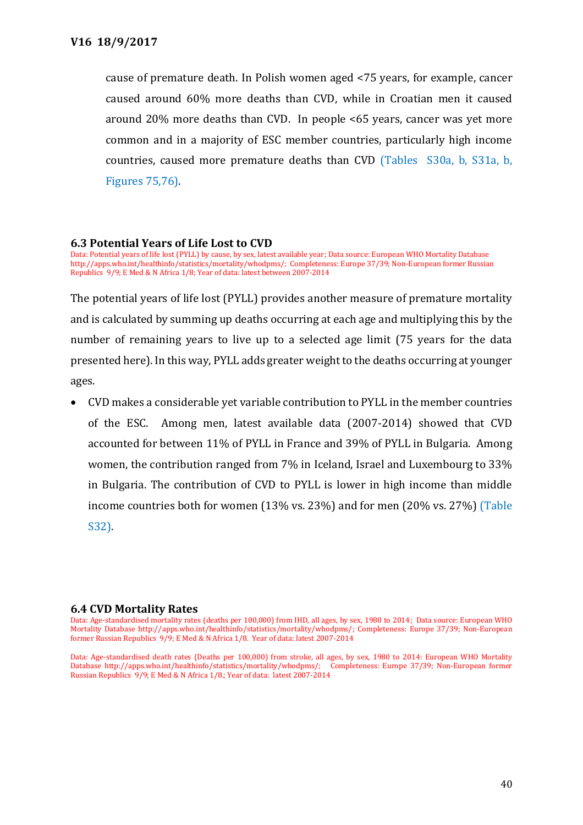cause of premature death. In Polish women aged <75 years, for example, cancer caused around 60% more deaths than CVD, while in Croatian men it caused around 20% more deaths than CVD. In people <65 years, cancer was yet more common and in a majority of ESC member countries, particularly high income countries, caused more premature deaths than CVD (Tables S30a, b, S31a, b, Figures 75,76).

#### **6.3 Potential Years of Life Lost to CVD**

Data: Potential years of life lost (PYLL) by cause, by sex, latest available year; Data source: European WHO Mortality Database http://apps.who.int/healthinfo/statistics/mortality/whodpms/; Completeness: Europe 37/39; Non-European former Russian Republics 9/9; E Med & N Africa 1/8; Year of data: latest between 2007-2014

The potential years of life lost (PYLL) provides another measure of premature mortality and is calculated by summing up deaths occurring at each age and multiplying this by the number of remaining years to live up to a selected age limit (75 years for the data presented here). In this way, PYLL adds greater weight to the deaths occurring at younger ages.

 CVD makes a considerable yet variable contribution to PYLL in the member countries of the ESC. Among men, latest available data (2007-2014) showed that CVD accounted for between 11% of PYLL in France and 39% of PYLL in Bulgaria. Among women, the contribution ranged from 7% in Iceland, Israel and Luxembourg to 33% in Bulgaria. The contribution of CVD to PYLL is lower in high income than middle income countries both for women (13% vs. 23%) and for men (20% vs. 27%) (Table S32).

#### **6.4 CVD Mortality Rates**

Data: Age-standardised death rates (Deaths per 100,000) from stroke, all ages, by sex, 1980 to 2014: European WHO Mortality Database http://apps.who.int/healthinfo/statistics/mortality/whodpms/; Completeness: Europe 37/39; Non-European former Russian Republics 9/9; E Med & N Africa 1/8.; Year of data: latest 2007-2014

Data: Age-standardised mortality rates (deaths per 100,000) from IHD, all ages, by sex, 1980 to 2014; Data source: European WHO Mortality Database http://apps.who.int/healthinfo/statistics/mortality/whodpms/; Completeness: Europe 37/39; Non-European former Russian Republics 9/9; E Med & N Africa 1/8. Year of data: latest 2007-2014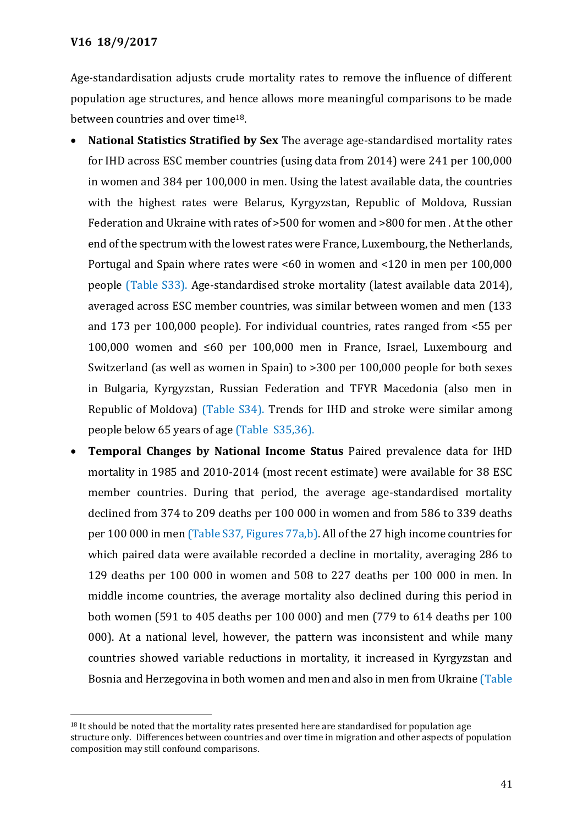$\overline{a}$ 

Age-standardisation adjusts crude mortality rates to remove the influence of different population age structures, and hence allows more meaningful comparisons to be made between countries and over time18.

- **National Statistics Stratified by Sex** The average age-standardised mortality rates for IHD across ESC member countries (using data from 2014) were 241 per 100,000 in women and 384 per 100,000 in men. Using the latest available data, the countries with the highest rates were Belarus, Kyrgyzstan, Republic of Moldova, Russian Federation and Ukraine with rates of >500 for women and >800 for men . At the other end of the spectrum with the lowest rates were France, Luxembourg, the Netherlands, Portugal and Spain where rates were <60 in women and <120 in men per 100,000 people (Table S33). Age-standardised stroke mortality (latest available data 2014), averaged across ESC member countries, was similar between women and men (133 and 173 per 100,000 people). For individual countries, rates ranged from <55 per 100,000 women and ≤60 per 100,000 men in France, Israel, Luxembourg and Switzerland (as well as women in Spain) to >300 per 100,000 people for both sexes in Bulgaria, Kyrgyzstan, Russian Federation and TFYR Macedonia (also men in Republic of Moldova) (Table S34). Trends for IHD and stroke were similar among people below 65 years of age (Table S35,36).
- **Temporal Changes by National Income Status** Paired prevalence data for IHD mortality in 1985 and 2010-2014 (most recent estimate) were available for 38 ESC member countries. During that period, the average age-standardised mortality declined from 374 to 209 deaths per 100 000 in women and from 586 to 339 deaths per 100 000 in men (Table S37, Figures 77a,b). All of the 27 high income countries for which paired data were available recorded a decline in mortality, averaging 286 to 129 deaths per 100 000 in women and 508 to 227 deaths per 100 000 in men. In middle income countries, the average mortality also declined during this period in both women (591 to 405 deaths per 100 000) and men (779 to 614 deaths per 100 000). At a national level, however, the pattern was inconsistent and while many countries showed variable reductions in mortality, it increased in Kyrgyzstan and Bosnia and Herzegovina in both women and men and also in men from Ukraine (Table

 $18$  It should be noted that the mortality rates presented here are standardised for population age structure only. Differences between countries and over time in migration and other aspects of population composition may still confound comparisons.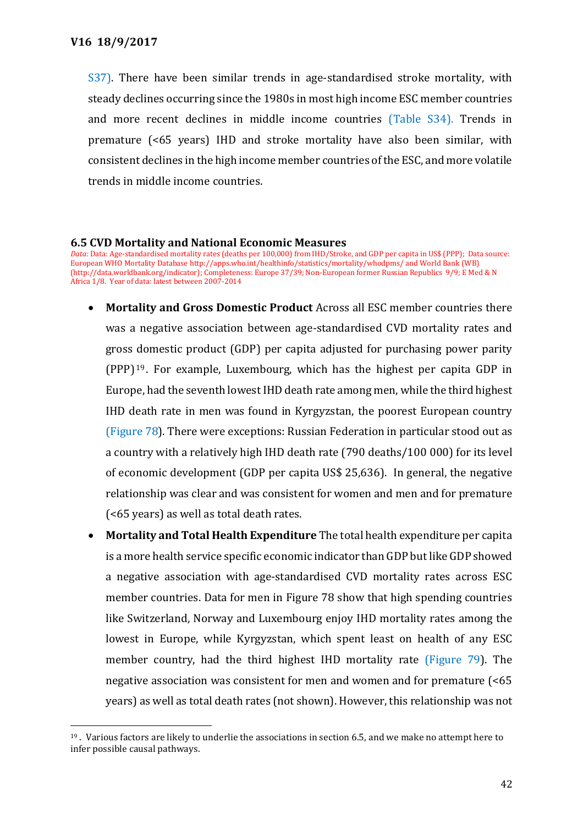$\overline{a}$ 

S37). There have been similar trends in age-standardised stroke mortality, with steady declines occurring since the 1980s in most high income ESC member countries and more recent declines in middle income countries (Table S34). Trends in premature (<65 years) IHD and stroke mortality have also been similar, with consistent declines in the high income member countries of the ESC, and more volatile trends in middle income countries.

#### **6.5 CVD Mortality and National Economic Measures**

*Data:* Data: Age-standardised mortality rates (deaths per 100,000) from IHD/Stroke, and GDP per capita in US\$ (PPP); Data source: European WHO Mortality Databas[e http://apps.who.int/healthinfo/statistics/mortality/whodpms/](http://apps.who.int/healthinfo/statistics/mortality/whodpms/) and World Bank (WB) [\(http://data.worldbank.org/indicator\);](http://data.worldbank.org/indicator)) Completeness: Europe 37/39; Non-European former Russian Republics 9/9; E Med & N Africa 1/8. Year of data: latest between 2007-2014

- **Mortality and Gross Domestic Product** Across all ESC member countries there was a negative association between age-standardised CVD mortality rates and gross domestic product (GDP) per capita adjusted for purchasing power parity (PPP) <sup>19</sup> . For example, Luxembourg, which has the highest per capita GDP in Europe, had the seventh lowest IHD death rate among men, while the third highest IHD death rate in men was found in Kyrgyzstan, the poorest European country (Figure 78). There were exceptions: Russian Federation in particular stood out as a country with a relatively high IHD death rate (790 deaths/100 000) for its level of economic development (GDP per capita US\$ 25,636). In general, the negative relationship was clear and was consistent for women and men and for premature (<65 years) as well as total death rates.
- **Mortality and Total Health Expenditure** The total health expenditure per capita is a more health service specific economic indicator than GDP but like GDP showed a negative association with age-standardised CVD mortality rates across ESC member countries. Data for men in Figure 78 show that high spending countries like Switzerland, Norway and Luxembourg enjoy IHD mortality rates among the lowest in Europe, while Kyrgyzstan, which spent least on health of any ESC member country, had the third highest IHD mortality rate (Figure 79). The negative association was consistent for men and women and for premature (<65 years) as well as total death rates (not shown). However, this relationship was not

<sup>19</sup> . Various factors are likely to underlie the associations in section 6.5, and we make no attempt here to infer possible causal pathways.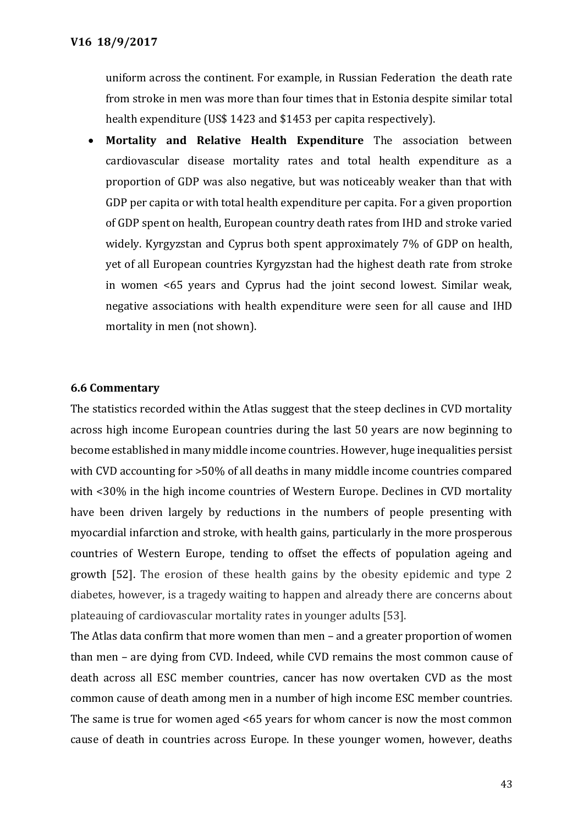uniform across the continent. For example, in Russian Federation the death rate from stroke in men was more than four times that in Estonia despite similar total health expenditure (US\$ 1423 and \$1453 per capita respectively).

 **Mortality and Relative Health Expenditure** The association between cardiovascular disease mortality rates and total health expenditure as a proportion of GDP was also negative, but was noticeably weaker than that with GDP per capita or with total health expenditure per capita. For a given proportion of GDP spent on health, European country death rates from IHD and stroke varied widely. Kyrgyzstan and Cyprus both spent approximately 7% of GDP on health, yet of all European countries Kyrgyzstan had the highest death rate from stroke in women <65 years and Cyprus had the joint second lowest. Similar weak, negative associations with health expenditure were seen for all cause and IHD mortality in men (not shown).

#### **6.6 Commentary**

The statistics recorded within the Atlas suggest that the steep declines in CVD mortality across high income European countries during the last 50 years are now beginning to become established in many middle income countries. However, huge inequalities persist with CVD accounting for >50% of all deaths in many middle income countries compared with <30% in the high income countries of Western Europe. Declines in CVD mortality have been driven largely by reductions in the numbers of people presenting with myocardial infarction and stroke, with health gains, particularly in the more prosperous countries of Western Europe, tending to offset the effects of population ageing and growth [52]. The erosion of these health gains by the obesity epidemic and type 2 diabetes, however, is a tragedy waiting to happen and already there are concerns about plateauing of cardiovascular mortality rates in younger adults [53].

The Atlas data confirm that more women than men – and a greater proportion of women than men – are dying from CVD. Indeed, while CVD remains the most common cause of death across all ESC member countries, cancer has now overtaken CVD as the most common cause of death among men in a number of high income ESC member countries. The same is true for women aged <65 years for whom cancer is now the most common cause of death in countries across Europe. In these younger women, however, deaths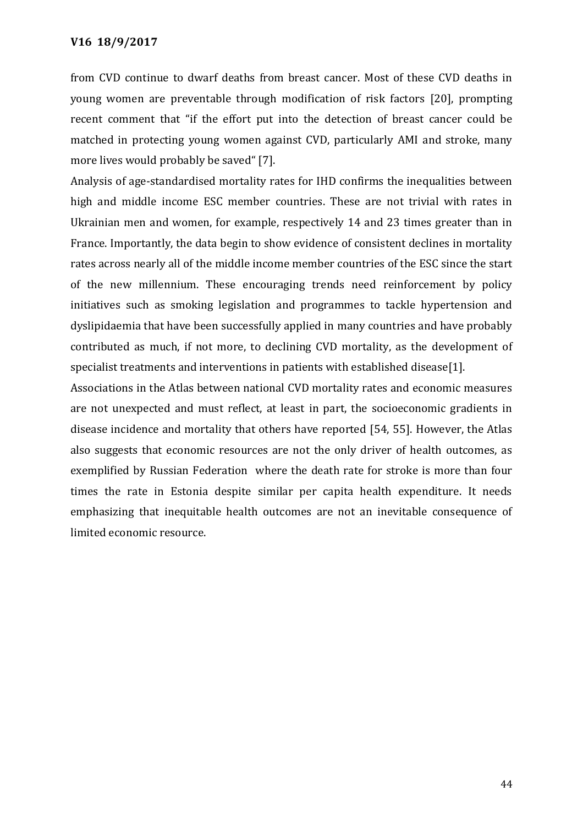from CVD continue to dwarf deaths from breast cancer. Most of these CVD deaths in young women are preventable through modification of risk factors [20], prompting recent comment that "if the effort put into the detection of breast cancer could be matched in protecting young women against CVD, particularly AMI and stroke, many more lives would probably be saved" [7].

Analysis of age-standardised mortality rates for IHD confirms the inequalities between high and middle income ESC member countries. These are not trivial with rates in Ukrainian men and women, for example, respectively 14 and 23 times greater than in France. Importantly, the data begin to show evidence of consistent declines in mortality rates across nearly all of the middle income member countries of the ESC since the start of the new millennium. These encouraging trends need reinforcement by policy initiatives such as smoking legislation and programmes to tackle hypertension and dyslipidaemia that have been successfully applied in many countries and have probably contributed as much, if not more, to declining CVD mortality, as the development of specialist treatments and interventions in patients with established disease[1].

Associations in the Atlas between national CVD mortality rates and economic measures are not unexpected and must reflect, at least in part, the socioeconomic gradients in disease incidence and mortality that others have reported [54, 55]. However, the Atlas also suggests that economic resources are not the only driver of health outcomes, as exemplified by Russian Federation where the death rate for stroke is more than four times the rate in Estonia despite similar per capita health expenditure. It needs emphasizing that inequitable health outcomes are not an inevitable consequence of limited economic resource.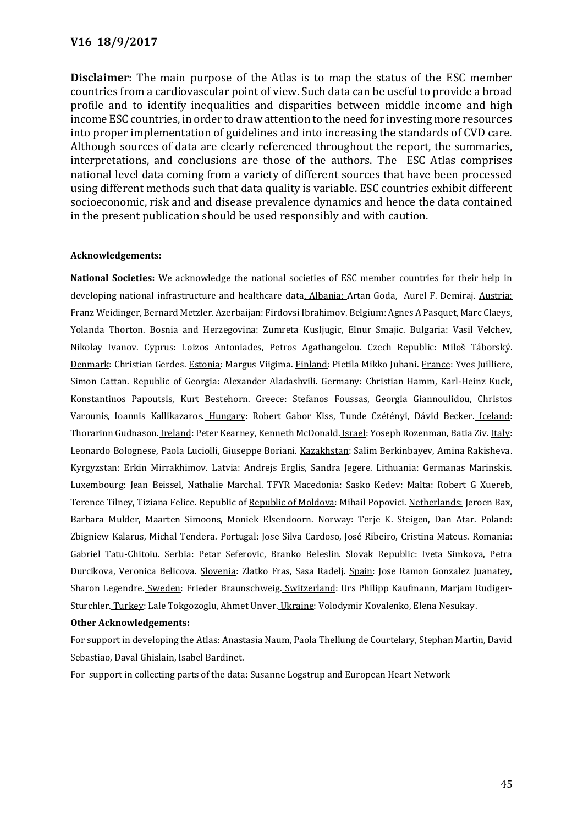**Disclaimer**: The main purpose of the Atlas is to map the status of the ESC member countries from a cardiovascular point of view. Such data can be useful to provide a broad profile and to identify inequalities and disparities between middle income and high income ESC countries, in order to draw attention to the need for investing more resources into proper implementation of guidelines and into increasing the standards of CVD care. Although sources of data are clearly referenced throughout the report, the summaries, interpretations, and conclusions are those of the authors. The ESC Atlas comprises national level data coming from a variety of different sources that have been processed using different methods such that data quality is variable. ESC countries exhibit different socioeconomic, risk and and disease prevalence dynamics and hence the data contained in the present publication should be used responsibly and with caution.

#### **Acknowledgements:**

**National Societies:** We acknowledge the national societies of ESC member countries for their help in developing national infrastructure and healthcare data. Albania: Artan Goda, Aurel F. Demiraj. Austria: Franz Weidinger, Bernard Metzler. Azerbaijan: Firdovsi Ibrahimov. Belgium: Agnes A Pasquet, Marc Claeys, Yolanda Thorton. Bosnia and Herzegovina: Zumreta Kusljugic, Elnur Smajic. Bulgaria: Vasil Velchev, Nikolay Ivanov. Cyprus: Loizos Antoniades, Petros Agathangelou. Czech Republic: Miloš Táborský. Denmark: Christian Gerdes. Estonia: Margus Viigima. Finland: Pietila Mikko Juhani. France: Yves Juilliere, Simon Cattan. Republic of Georgia: Alexander Aladashvili. Germany: Christian Hamm, Karl-Heinz Kuck, Konstantinos Papoutsis, Kurt Bestehorn. Greece: Stefanos Foussas, Georgia Giannoulidou, Christos Varounis, Ioannis Kallikazaros. Hungary: Robert Gabor Kiss, Tunde Czétényi, Dávid Becker. Iceland: Thorarinn Gudnason. Ireland: Peter Kearney, Kenneth McDonald. Israel: Yoseph Rozenman, Batia Ziv. Italy: Leonardo Bolognese, Paola Luciolli, Giuseppe Boriani. Kazakhstan: Salim Berkinbayev, Amina Rakisheva. Kyrgyzstan: Erkin Mirrakhimov. Latvia: Andrejs Erglis, Sandra Jegere. Lithuania: Germanas Marinskis. Luxembourg: Jean Beissel, Nathalie Marchal. TFYR Macedonia: Sasko Kedev: Malta: Robert G Xuereb, Terence Tilney, Tiziana Felice. Republic of Republic of Moldova: Mihail Popovici. Netherlands: Jeroen Bax, Barbara Mulder, Maarten Simoons, Moniek Elsendoorn. Norway: Terje K. Steigen, Dan Atar. Poland: Zbigniew Kalarus, Michal Tendera. Portugal: Jose Silva Cardoso, José Ribeiro, Cristina Mateus. Romania: Gabriel Tatu-Chitoiu. Serbia: Petar Seferovic, Branko Beleslin. Slovak Republic: Iveta Simkova, Petra Durcikova, Veronica Belicova. Slovenia: Zlatko Fras, Sasa Radelj. Spain: Jose Ramon Gonzalez Juanatey, Sharon Legendre. Sweden: Frieder Braunschweig. Switzerland: Urs Philipp Kaufmann, Marjam Rudiger-Sturchler. Turkey: Lale Tokgozoglu, Ahmet Unver. Ukraine: Volodymir Kovalenko, Elena Nesukay.

#### **Other Acknowledgements:**

For support in developing the Atlas: Anastasia Naum, Paola Thellung de Courtelary, Stephan Martin, David Sebastiao, Daval Ghislain, Isabel Bardinet.

For support in collecting parts of the data: Susanne Logstrup and European Heart Network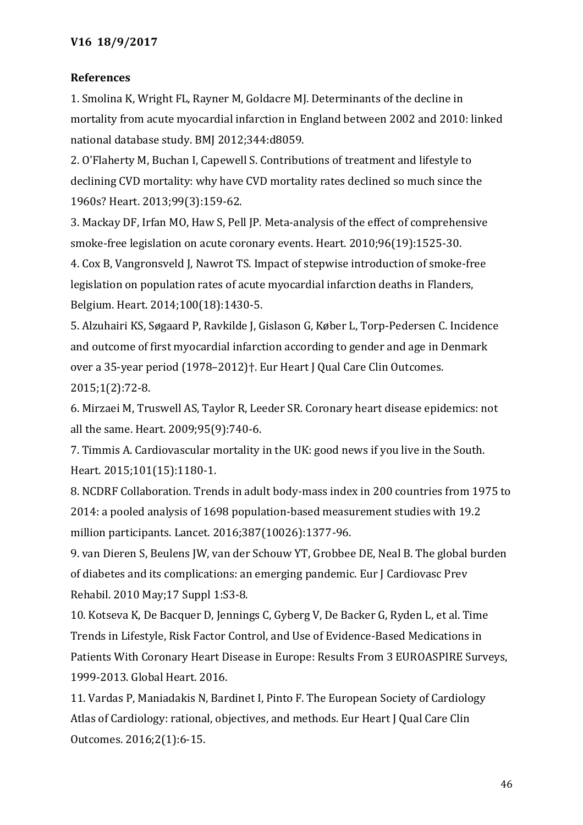## **References**

1. Smolina K, Wright FL, Rayner M, Goldacre MJ. Determinants of the decline in mortality from acute myocardial infarction in England between 2002 and 2010: linked national database study. BMJ 2012;344:d8059.

2. O'Flaherty M, Buchan I, Capewell S. Contributions of treatment and lifestyle to declining CVD mortality: why have CVD mortality rates declined so much since the 1960s? Heart. 2013;99(3):159-62.

3. Mackay DF, Irfan MO, Haw S, Pell JP. Meta-analysis of the effect of comprehensive smoke-free legislation on acute coronary events. Heart. 2010;96(19):1525-30.

4. Cox B, Vangronsveld J, Nawrot TS. Impact of stepwise introduction of smoke-free legislation on population rates of acute myocardial infarction deaths in Flanders, Belgium. Heart. 2014;100(18):1430-5.

5. Alzuhairi KS, Søgaard P, Ravkilde J, Gislason G, Køber L, Torp-Pedersen C. Incidence and outcome of first myocardial infarction according to gender and age in Denmark over a 35-year period (1978–2012)†. Eur Heart J Qual Care Clin Outcomes. 2015;1(2):72-8.

6. Mirzaei M, Truswell AS, Taylor R, Leeder SR. Coronary heart disease epidemics: not all the same. Heart. 2009;95(9):740-6.

7. Timmis A. Cardiovascular mortality in the UK: good news if you live in the South. Heart. 2015;101(15):1180-1.

8. NCDRF Collaboration. Trends in adult body-mass index in 200 countries from 1975 to 2014: a pooled analysis of 1698 population-based measurement studies with 19.2 million participants. Lancet. 2016;387(10026):1377-96.

9. van Dieren S, Beulens JW, van der Schouw YT, Grobbee DE, Neal B. The global burden of diabetes and its complications: an emerging pandemic. Eur J Cardiovasc Prev Rehabil. 2010 May;17 Suppl 1:S3-8.

10. Kotseva K, De Bacquer D, Jennings C, Gyberg V, De Backer G, Ryden L, et al. Time Trends in Lifestyle, Risk Factor Control, and Use of Evidence-Based Medications in Patients With Coronary Heart Disease in Europe: Results From 3 EUROASPIRE Surveys, 1999-2013. Global Heart. 2016.

11. Vardas P, Maniadakis N, Bardinet I, Pinto F. The European Society of Cardiology Atlas of Cardiology: rational, objectives, and methods. Eur Heart J Qual Care Clin Outcomes. 2016;2(1):6-15.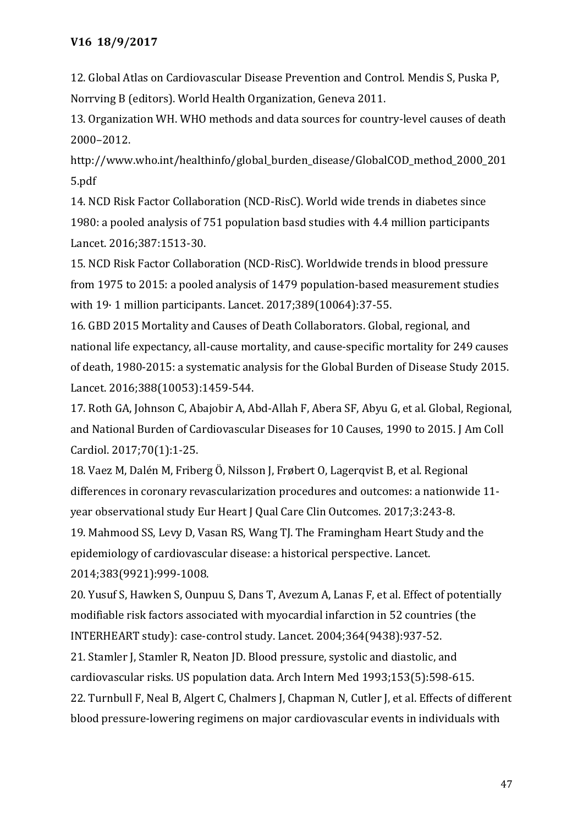12. Global Atlas on Cardiovascular Disease Prevention and Control. Mendis S, Puska P, Norrving B (editors). World Health Organization, Geneva 2011.

13. Organization WH. WHO methods and data sources for country-level causes of death 2000–2012.

http://www.who.int/healthinfo/global\_burden\_disease/GlobalCOD\_method\_2000\_201 5.pdf

14. NCD Risk Factor Collaboration (NCD-RisC). World wide trends in diabetes since 1980: a pooled analysis of 751 population basd studies with 4.4 million participants Lancet. 2016;387:1513-30.

15. NCD Risk Factor Collaboration (NCD-RisC). Worldwide trends in blood pressure from 1975 to 2015: a pooled analysis of 1479 population-based measurement studies with 19· 1 million participants. Lancet. 2017;389(10064):37-55.

16. GBD 2015 Mortality and Causes of Death Collaborators. Global, regional, and national life expectancy, all-cause mortality, and cause-specific mortality for 249 causes of death, 1980-2015: a systematic analysis for the Global Burden of Disease Study 2015. Lancet. 2016;388(10053):1459-544.

17. Roth GA, Johnson C, Abajobir A, Abd-Allah F, Abera SF, Abyu G, et al. Global, Regional, and National Burden of Cardiovascular Diseases for 10 Causes, 1990 to 2015. J Am Coll Cardiol. 2017;70(1):1-25.

18. Vaez M, Dalén M, Friberg Ö, Nilsson J, Frøbert O, Lagerqvist B, et al. Regional differences in coronary revascularization procedures and outcomes: a nationwide 11 year observational study Eur Heart J Qual Care Clin Outcomes. 2017;3:243-8.

19. Mahmood SS, Levy D, Vasan RS, Wang TJ. The Framingham Heart Study and the epidemiology of cardiovascular disease: a historical perspective. Lancet. 2014;383(9921):999-1008.

20. Yusuf S, Hawken S, Ounpuu S, Dans T, Avezum A, Lanas F, et al. Effect of potentially modifiable risk factors associated with myocardial infarction in 52 countries (the INTERHEART study): case-control study. Lancet. 2004;364(9438):937-52.

21. Stamler J, Stamler R, Neaton JD. Blood pressure, systolic and diastolic, and cardiovascular risks. US population data. Arch Intern Med 1993;153(5):598-615. 22. Turnbull F, Neal B, Algert C, Chalmers J, Chapman N, Cutler J, et al. Effects of different blood pressure-lowering regimens on major cardiovascular events in individuals with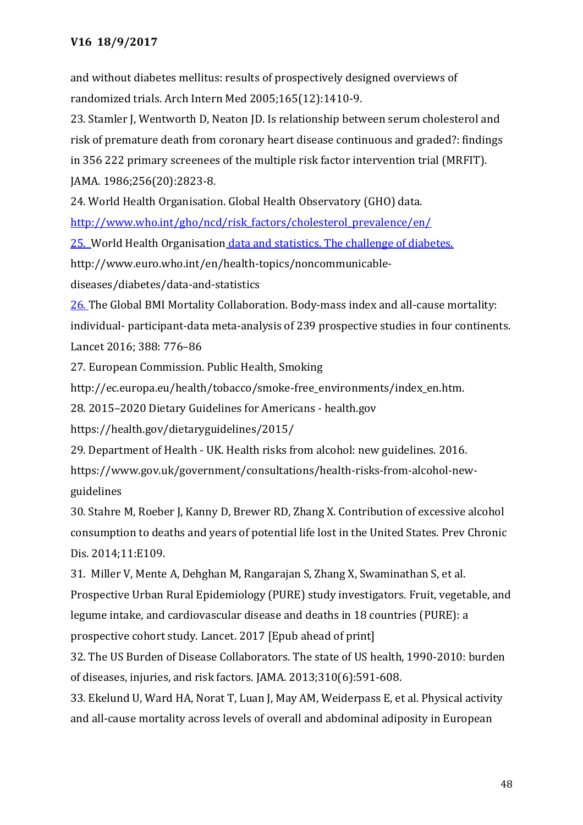and without diabetes mellitus: results of prospectively designed overviews of randomized trials. Arch Intern Med 2005;165(12):1410-9.

23. Stamler J, Wentworth D, Neaton JD. Is relationship between serum cholesterol and risk of premature death from coronary heart disease continuous and graded?: findings in 356 222 primary screenees of the multiple risk factor intervention trial (MRFIT). JAMA. 1986;256(20):2823-8.

24. World Health Organisation. Global Health Observatory (GHO) data.

[http://www.who.int/gho/ncd/risk\\_factors/cholesterol\\_prevalence/en/](http://www.who.int/gho/ncd/risk_factors/cholesterol_prevalence/en/)

25. World Health Organisation data and statistics. The challenge of diabetes.

http://www.euro.who.int/en/health-topics/noncommunicable-

diseases/diabetes/data-and-statistics

26. The Global BMI Mortality Collaboration. Body-mass index and all-cause mortality: individual- participant-data meta-analysis of 239 prospective studies in four continents. Lancet 2016; 388: 776–86

27. European Commission. Public Health, Smoking

http://ec.europa.eu/health/tobacco/smoke-free\_environments/index\_en.htm.

28. 2015–[2020 Dietary Guidelines for Americans -](https://health.gov/dietaryguidelines/2015/) health.gov

https://health.gov/dietaryguidelines/2015/

29. Department of Health - UK. Health risks from alcohol: new guidelines. 2016.

https://www.gov.uk/government/consultations/health-risks-from-alcohol-newguidelines

30. Stahre M, Roeber J, Kanny D, Brewer RD, Zhang X. Contribution of excessive alcohol consumption to deaths and years of potential life lost in the United States. Prev Chronic Dis. 2014;11:E109.

31. Miller V, Mente A, Dehghan M, Rangarajan S, Zhang X, Swaminathan S, et al. Prospective Urban Rural Epidemiology (PURE) study investigators. Fruit, vegetable, and legume intake, and cardiovascular disease and deaths in 18 countries (PURE): a prospective cohort study. Lancet. 2017 [Epub ahead of print]

32. The US Burden of Disease Collaborators. The state of US health, 1990-2010: burden of diseases, injuries, and risk factors. JAMA. 2013;310(6):591-608.

33. Ekelund U, Ward HA, Norat T, Luan J, May AM, Weiderpass E, et al. Physical activity and all-cause mortality across levels of overall and abdominal adiposity in European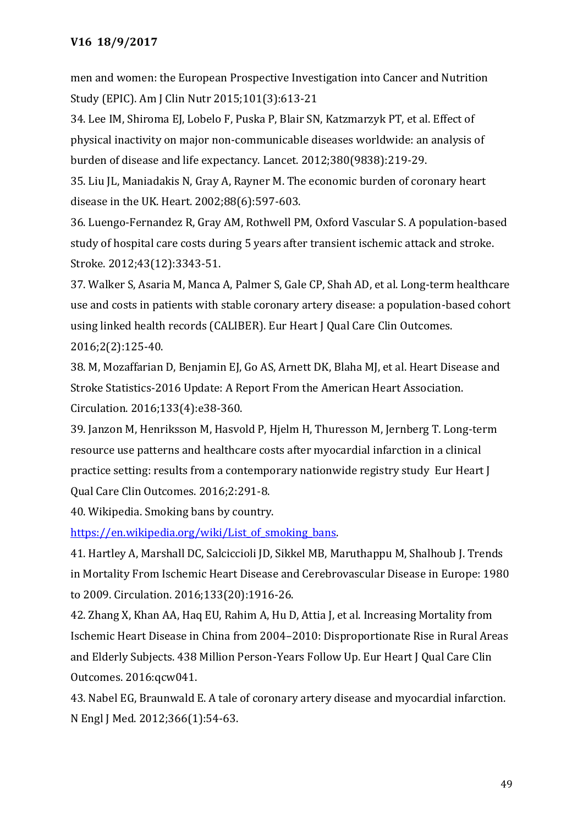men and women: the European Prospective Investigation into Cancer and Nutrition Study (EPIC). Am J Clin Nutr 2015;101(3):613-21

34. Lee IM, Shiroma EJ, Lobelo F, Puska P, Blair SN, Katzmarzyk PT, et al. Effect of physical inactivity on major non-communicable diseases worldwide: an analysis of burden of disease and life expectancy. Lancet. 2012;380(9838):219-29.

35. Liu JL, Maniadakis N, Gray A, Rayner M. The economic burden of coronary heart disease in the UK. Heart. 2002;88(6):597-603.

36. Luengo-Fernandez R, Gray AM, Rothwell PM, Oxford Vascular S. A population-based study of hospital care costs during 5 years after transient ischemic attack and stroke. Stroke. 2012;43(12):3343-51.

37. Walker S, Asaria M, Manca A, Palmer S, Gale CP, Shah AD, et al. Long-term healthcare use and costs in patients with stable coronary artery disease: a population-based cohort using linked health records (CALIBER). Eur Heart J Qual Care Clin Outcomes. 2016;2(2):125-40.

38. M, Mozaffarian D, Benjamin EJ, Go AS, Arnett DK, Blaha MJ, et al. Heart Disease and Stroke Statistics-2016 Update: A Report From the American Heart Association. Circulation. 2016;133(4):e38-360.

39. Janzon M, Henriksson M, Hasvold P, Hjelm H, Thuresson M, Jernberg T. Long-term resource use patterns and healthcare costs after myocardial infarction in a clinical practice setting: results from a contemporary nationwide registry study Eur Heart J Qual Care Clin Outcomes. 2016;2:291-8.

40. Wikipedia. Smoking bans by country.

https://en.wikipedia.org/wiki/List of smoking bans.

41. Hartley A, Marshall DC, Salciccioli JD, Sikkel MB, Maruthappu M, Shalhoub J. Trends in Mortality From Ischemic Heart Disease and Cerebrovascular Disease in Europe: 1980 to 2009. Circulation. 2016;133(20):1916-26.

42. Zhang X, Khan AA, Haq EU, Rahim A, Hu D, Attia J, et al. Increasing Mortality from Ischemic Heart Disease in China from 2004–2010: Disproportionate Rise in Rural Areas and Elderly Subjects. 438 Million Person-Years Follow Up. Eur Heart J Qual Care Clin Outcomes. 2016:qcw041.

43. Nabel EG, Braunwald E. A tale of coronary artery disease and myocardial infarction. N Engl J Med. 2012;366(1):54-63.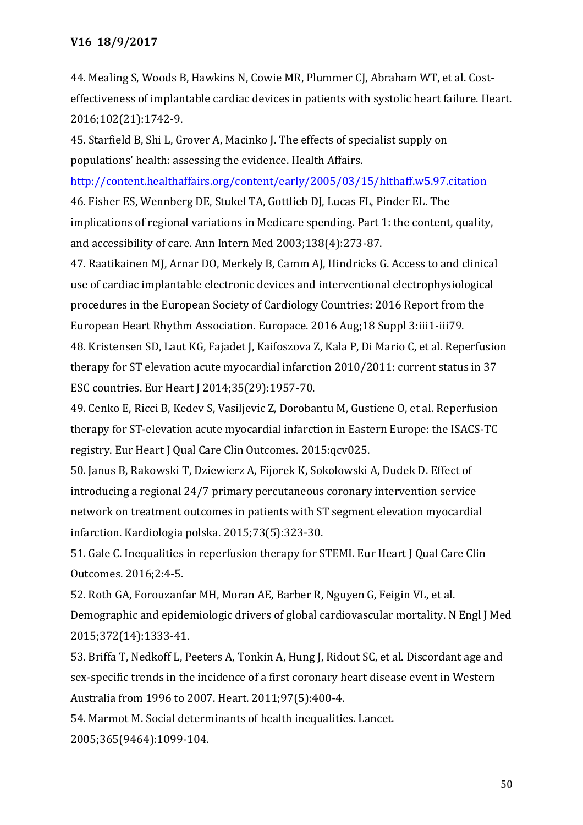44. Mealing S, Woods B, Hawkins N, Cowie MR, Plummer CJ, Abraham WT, et al. Costeffectiveness of implantable cardiac devices in patients with systolic heart failure. Heart. 2016;102(21):1742-9.

45. Starfield B, Shi L, Grover A, Macinko J. The effects of specialist supply on populations' health: assessing the evidence. Health Affairs.

http://content.healthaffairs.org/content/early/2005/03/15/hlthaff.w5.97.citation 46. Fisher ES, Wennberg DE, Stukel TA, Gottlieb DJ, Lucas FL, Pinder EL. The implications of regional variations in Medicare spending. Part 1: the content, quality, and accessibility of care. Ann Intern Med 2003;138(4):273-87.

47. Raatikainen MJ, Arnar DO, Merkely B, Camm AJ, Hindricks G. Access to and clinical use of cardiac implantable electronic devices and interventional electrophysiological procedures in the European Society of Cardiology Countries: 2016 Report from the European Heart Rhythm Association. Europace. 2016 Aug;18 Suppl 3:iii1-iii79. 48. Kristensen SD, Laut KG, Fajadet J, Kaifoszova Z, Kala P, Di Mario C, et al. Reperfusion therapy for ST elevation acute myocardial infarction 2010/2011: current status in 37 ESC countries. Eur Heart J 2014;35(29):1957-70.

49. Cenko E, Ricci B, Kedev S, Vasiljevic Z, Dorobantu M, Gustiene O, et al. Reperfusion therapy for ST-elevation acute myocardial infarction in Eastern Europe: the ISACS-TC registry. Eur Heart J Qual Care Clin Outcomes. 2015:qcv025.

50. Janus B, Rakowski T, Dziewierz A, Fijorek K, Sokolowski A, Dudek D. Effect of introducing a regional 24/7 primary percutaneous coronary intervention service network on treatment outcomes in patients with ST segment elevation myocardial infarction. Kardiologia polska. 2015;73(5):323-30.

51. Gale C. Inequalities in reperfusion therapy for STEMI. Eur Heart J Qual Care Clin Outcomes. 2016;2:4-5.

52. Roth GA, Forouzanfar MH, Moran AE, Barber R, Nguyen G, Feigin VL, et al. Demographic and epidemiologic drivers of global cardiovascular mortality. N Engl J Med 2015;372(14):1333-41.

53. Briffa T, Nedkoff L, Peeters A, Tonkin A, Hung J, Ridout SC, et al. Discordant age and sex-specific trends in the incidence of a first coronary heart disease event in Western Australia from 1996 to 2007. Heart. 2011;97(5):400-4.

54. Marmot M. Social determinants of health inequalities. Lancet. 2005;365(9464):1099-104.